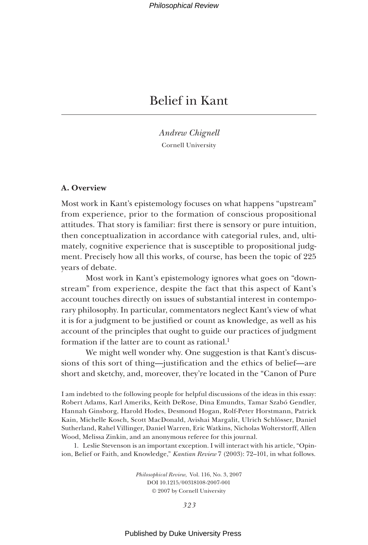*Andrew Chignell* Cornell University

# **A. Overview**

Most work in Kant's epistemology focuses on what happens "upstream" from experience, prior to the formation of conscious propositional attitudes. That story is familiar: first there is sensory or pure intuition, then conceptualization in accordance with categorial rules, and, ultimately, cognitive experience that is susceptible to propositional judgment. Precisely how all this works, of course, has been the topic of 225 years of debate.

Most work in Kant's epistemology ignores what goes on "downstream" from experience, despite the fact that this aspect of Kant's account touches directly on issues of substantial interest in contemporary philosophy. In particular, commentators neglect Kant's view of what it is for a judgment to be justified or count as knowledge, as well as his account of the principles that ought to guide our practices of judgment formation if the latter are to count as rational.<sup>1</sup>

We might well wonder why. One suggestion is that Kant's discussions of this sort of thing—justification and the ethics of belief—are short and sketchy, and, moreover, they're located in the "Canon of Pure

I am indebted to the following people for helpful discussions of the ideas in this essay: Robert Adams, Karl Ameriks, Keith DeRose, Dina Emundts, Tamar Szabó Gendler, Hannah Ginsborg, Harold Hodes, Desmond Hogan, Rolf-Peter Horstmann, Patrick Kain, Michelle Kosch, Scott MacDonald, Avishai Margalit, Ulrich Schlösser, Daniel Sutherland, Rahel Villinger, Daniel Warren, Eric Watkins, Nicholas Wolterstorff, Allen Wood, Melissa Zinkin, and an anonymous referee for this journal.

1. Leslie Stevenson is an important exception. I will interact with his article, "Opinion, Belief or Faith, and Knowledge," *Kantian Review* 7 (2003): 72–101, in what follows.

> *Philosophical Review*, Vol. 116, No. 3, 2007 DOI 10.1215/00318108-2007-001 © 2007 by Cornell University

> > *323*

Published by Duke University Press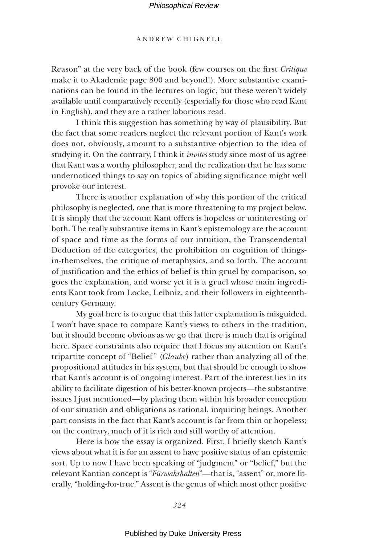### ANDREW CHIGNELL

Reason" at the very back of the book (few courses on the first *Critique* make it to Akademie page 800 and beyond!). More substantive examinations can be found in the lectures on logic, but these weren't widely available until comparatively recently (especially for those who read Kant in English), and they are a rather laborious read.

I think this suggestion has something by way of plausibility. But the fact that some readers neglect the relevant portion of Kant's work does not, obviously, amount to a substantive objection to the idea of studying it. On the contrary, I think it *invites* study since most of us agree that Kant was a worthy philosopher, and the realization that he has some undernoticed things to say on topics of abiding significance might well provoke our interest.

There is another explanation of why this portion of the critical philosophy is neglected, one that is more threatening to my project below. It is simply that the account Kant offers is hopeless or uninteresting or both. The really substantive items in Kant's epistemology are the account of space and time as the forms of our intuition, the Transcendental Deduction of the categories, the prohibition on cognition of thingsin-themselves, the critique of metaphysics, and so forth. The account of justifi cation and the ethics of belief is thin gruel by comparison, so goes the explanation, and worse yet it is a gruel whose main ingredients Kant took from Locke, Leibniz, and their followers in eighteenthcentury Germany.

My goal here is to argue that this latter explanation is misguided. I won't have space to compare Kant's views to others in the tradition, but it should become obvious as we go that there is much that is original here. Space constraints also require that I focus my attention on Kant's tripartite concept of "Belief" (*Glaube*) rather than analyzing all of the propositional attitudes in his system, but that should be enough to show that Kant's account is of ongoing interest. Part of the interest lies in its ability to facilitate digestion of his better-known projects—the substantive issues I just mentioned—by placing them within his broader conception of our situation and obligations as rational, inquiring beings. Another part consists in the fact that Kant's account is far from thin or hopeless; on the contrary, much of it is rich and still worthy of attention.

Here is how the essay is organized. First, I briefly sketch Kant's views about what it is for an assent to have positive status of an epistemic sort. Up to now I have been speaking of "judgment" or "belief," but the relevant Kantian concept is "*Fürwahrhalten*"—that is, "assent" or, more literally, "holding-for-true." Assent is the genus of which most other positive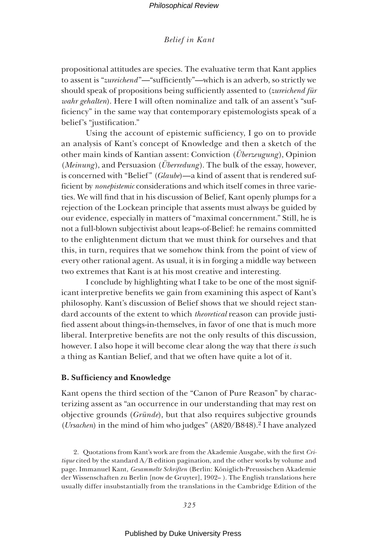propositional attitudes are species. The evaluative term that Kant applies to assent is "*zureichend*"—"sufficiently"—which is an adverb, so strictly we should speak of propositions being sufficiently assented to (*zureichend für wahr gehalten*). Here I will often nominalize and talk of an assent's "sufficiency" in the same way that contemporary epistemologists speak of a belief's "justification."

Using the account of epistemic sufficiency,  $I$  go on to provide an analysis of Kant's concept of Knowledge and then a sketch of the other main kinds of Kantian assent: Conviction (*Überzeugung* ), Opinion (*Meinung*), and Persuasion (*Überredung*). The bulk of the essay, however, is concerned with "Belief" (*Glaube*)—a kind of assent that is rendered sufficient by *nonepistemic* considerations and which itself comes in three varieties. We will find that in his discussion of Belief, Kant openly plumps for a rejection of the Lockean principle that assents must always be guided by our evidence, especially in matters of "maximal concernment." Still, he is not a full-blown subjectivist about leaps-of-Belief: he remains committed to the enlightenment dictum that we must think for ourselves and that this, in turn, requires that we somehow think from the point of view of every other rational agent. As usual, it is in forging a middle way between two extremes that Kant is at his most creative and interesting.

I conclude by highlighting what I take to be one of the most significant interpretive benefits we gain from examining this aspect of Kant's philosophy. Kant's discussion of Belief shows that we should reject standard accounts of the extent to which *theoretical* reason can provide justified assent about things-in-themselves, in favor of one that is much more liberal. Interpretive benefits are not the only results of this discussion, however. I also hope it will become clear along the way that there *is* such a thing as Kantian Belief, and that we often have quite a lot of it.

### **B. Sufficiency and Knowledge**

Kant opens the third section of the "Canon of Pure Reason" by characterizing assent as "an occurrence in our understanding that may rest on objective grounds (*Gründe*), but that also requires subjective grounds (*Ursachen*) in the mind of him who judges" (A820/B848).<sup>2</sup> I have analyzed

2. Quotations from Kant's work are from the Akademie Ausgabe, with the first *Critique* cited by the standard A/B edition pagination, and the other works by volume and page. Immanuel Kant, *Gesammelte Schriften* (Berlin: Königlich-Preussischen Akademie der Wissenschaften zu Berlin [now de Gruyter], 1902– ). The English translations here usually differ insubstantially from the translations in the Cambridge Edition of the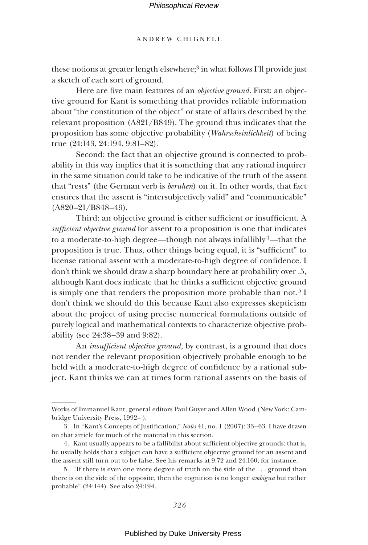ANDREW CHIGNELL

these notions at greater length elsewhere;<sup>3</sup> in what follows I'll provide just a sketch of each sort of ground.

Here are five main features of an *objective ground*. First: an objective ground for Kant is something that provides reliable information about "the constitution of the object" or state of affairs described by the relevant proposition (A821/B849). The ground thus indicates that the proposition has some objective probability (*Wahrscheinlichkeit*) of being true (24:143, 24:194, 9:81–82).

Second: the fact that an objective ground is connected to probability in this way implies that it is something that any rational inquirer in the same situation could take to be indicative of the truth of the assent that "rests" (the German verb is *beruhen*) on it. In other words, that fact ensures that the assent is "intersubjectively valid" and "communicable" (A820–21/B848–49).

Third: an objective ground is either sufficient or insufficient. A *sufficient objective ground* for assent to a proposition is one that indicates to a moderate-to-high degree—though not always infallibly  $4$ —that the proposition is true. Thus, other things being equal, it is "sufficient" to license rational assent with a moderate-to-high degree of confidence. I don't think we should draw a sharp boundary here at probability over .5, although Kant does indicate that he thinks a sufficient objective ground is simply one that renders the proposition more probable than not.<sup>5</sup> I don't think we should do this because Kant also expresses skepticism about the project of using precise numerical formulations outside of purely logical and mathematical contexts to characterize objective probability (see 24:38–39 and 9:82).

An *insufficient objective ground*, by contrast, is a ground that does not render the relevant proposition objectively probable enough to be held with a moderate-to-high degree of confidence by a rational subject. Kant thinks we can at times form rational assents on the basis of

Works of Immanuel Kant, general editors Paul Guyer and Allen Wood (New York: Cambridge University Press, 1992– ).

<sup>3.</sup> In "Kant's Concepts of Justification," *Noûs* 41, no. 1 (2007): 33-63. I have drawn on that article for much of the material in this section.

<sup>4.</sup> Kant usually appears to be a fallibilist about sufficient objective grounds: that is, he usually holds that a subject can have a sufficient objective ground for an assent and the assent still turn out to be false. See his remarks at 9:72 and 24:160, for instance.

<sup>5. &</sup>quot;If there is even one more degree of truth on the side of the . . . ground than there is on the side of the opposite, then the cognition is no longer *ambigua* but rather probable" (24:144). See also 24:194.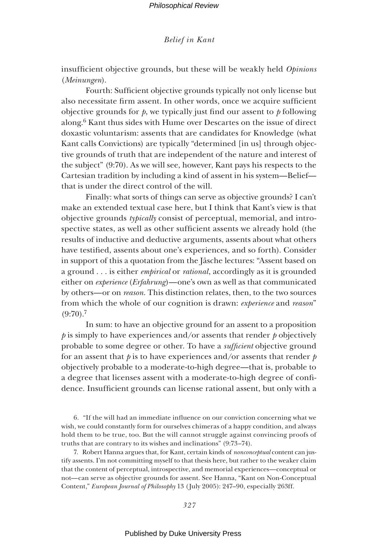insufficient objective grounds, but these will be weakly held *Opinions* (*Meinungen*).

Fourth: Sufficient objective grounds typically not only license but also necessitate firm assent. In other words, once we acquire sufficient objective grounds for  $p$ , we typically just find our assent to  $p$  following along.6 Kant thus sides with Hume over Descartes on the issue of direct doxastic voluntarism: assents that are candidates for Knowledge (what Kant calls Convictions) are typically "determined [in us] through objective grounds of truth that are independent of the nature and interest of the subject" (9:70). As we will see, however, Kant pays his respects to the Cartesian tradition by including a kind of assent in his system—Belief that is under the direct control of the will.

Finally: what sorts of things can serve as objective grounds? I can't make an extended textual case here, but I think that Kant's view is that objective grounds *typically* consist of perceptual, memorial, and introspective states, as well as other sufficient assents we already hold (the results of inductive and deductive arguments, assents about what others have testified, assents about one's experiences, and so forth). Consider in support of this a quotation from the Jäsche lectures: "Assent based on a ground . . . is either *empirical* or *rational*, accordingly as it is grounded either on *experience* (*Erfahrung*)—one's own as well as that communicated by others—or on *reason*. This distinction relates, then, to the two sources from which the whole of our cognition is drawn: *experience* and *reason*"  $(9:70).7$ 

In sum: to have an objective ground for an assent to a proposition *p* is simply to have experiences and/or assents that render *p* objectively probable to some degree or other. To have a *sufficient* objective ground for an assent that  $p$  is to have experiences and/or assents that render  $p$ objectively probable to a moderate-to-high degree—that is, probable to a degree that licenses assent with a moderate-to-high degree of confidence. Insufficient grounds can license rational assent, but only with a

6. "If the will had an immediate influence on our conviction concerning what we wish, we could constantly form for ourselves chimeras of a happy condition, and always hold them to be true, too. But the will cannot struggle against convincing proofs of truths that are contrary to its wishes and inclinations" (9:73–74).

7. Robert Hanna argues that, for Kant, certain kinds of *nonconceptual* content can justify assents. I'm not committing myself to that thesis here, but rather to the weaker claim that the content of perceptual, introspective, and memorial experiences—conceptual or not—can serve as objective grounds for assent. See Hanna, "Kant on Non-Conceptual Content," *European Journal of Philosophy* 13 (July 2005): 247–90, especially 263ff.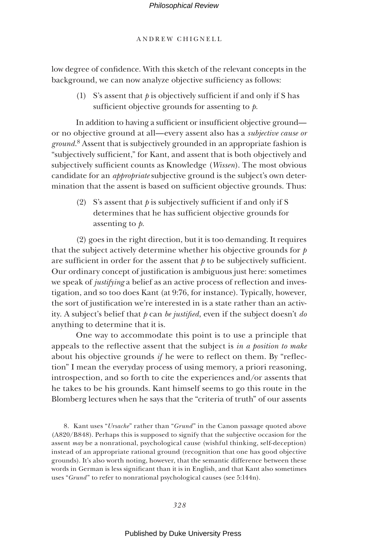ANDREW CHIGNELL

low degree of confidence. With this sketch of the relevant concepts in the background, we can now analyze objective sufficiency as follows:

(1) S's assent that  $p$  is objectively sufficient if and only if S has sufficient objective grounds for assenting to *.* 

In addition to having a sufficient or insufficient objective ground or no objective ground at all—every assent also has a *subjective cause or ground*. 8 Assent that is subjectively grounded in an appropriate fashion is "subjectively sufficient," for Kant, and assent that is both objectively and subjectively sufficient counts as Knowledge (*Wissen*). The most obvious candidate for an *appropriate* subjective ground is the subject's own determination that the assent is based on sufficient objective grounds. Thus:

(2) S's assent that  $\phi$  is subjectively sufficient if and only if S determines that he has sufficient objective grounds for assenting to *p*.

(2) goes in the right direction, but it is too demanding. It requires that the subject actively determine whether his objective grounds for *p* are sufficient in order for the assent that  $p$  to be subjectively sufficient. Our ordinary concept of justification is ambiguous just here: sometimes we speak of *justifying* a belief as an active process of reflection and investigation, and so too does Kant (at 9:76, for instance). Typically, however, the sort of justification we're interested in is a state rather than an activity. A subject's belief that *p* can *be justified*, even if the subject doesn't *do* anything to determine that it is.

One way to accommodate this point is to use a principle that appeals to the reflective assent that the subject is *in a position to make* about his objective grounds *if* he were to reflect on them. By "reflection" I mean the everyday process of using memory, a priori reasoning, introspection, and so forth to cite the experiences and/or assents that he takes to be his grounds. Kant himself seems to go this route in the Blomberg lectures when he says that the "criteria of truth" of our assents

8. Kant uses "*Ursache*" rather than "*Grund*" in the Canon passage quoted above (A820/B848). Perhaps this is supposed to signify that the subjective occasion for the assent *may* be a nonrational, psychological cause (wishful thinking, self-deception) instead of an appropriate rational ground (recognition that one has good objective grounds). It's also worth noting, however, that the semantic difference between these words in German is less significant than it is in English, and that Kant also sometimes uses "*Grund*" to refer to nonrational psychological causes (see 5:144n).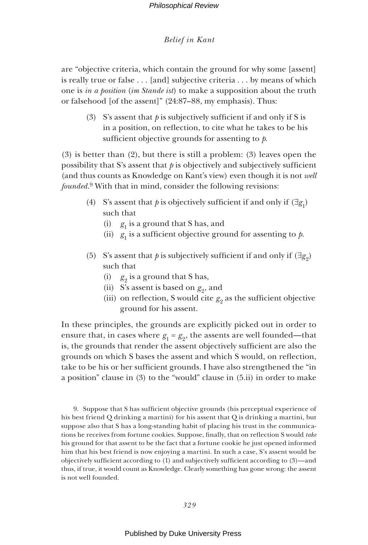are "objective criteria, which contain the ground for why some [assent] is really true or false . . . [and] subjective criteria . . . by means of which one is *in a position* (*im Stande ist*) to make a supposition about the truth or falsehood [of the assent]" (24:87–88, my emphasis). Thus:

(3) S's assent that  $\phi$  is subjectively sufficient if and only if S is in a position, on reflection, to cite what he takes to be his sufficient objective grounds for assenting to *.* 

(3) is better than (2), but there is still a problem: (3) leaves open the possibility that S's assent that  $\phi$  is objectively and subjectively sufficient (and thus counts as Knowledge on Kant's view) even though it is not *well founded*. 9 With that in mind, consider the following revisions:

- (4) S's assent that *p* is objectively sufficient if and only if  $(\exists g_1)$ such that
	- (i)  $g_1$  is a ground that S has, and
	- (ii)  $g_1$  is a sufficient objective ground for assenting to  $p$ .
- (5) S's assent that *p* is subjectively sufficient if and only if  $(\exists g_2)$ such that
	- (i)  $g_2$  is a ground that S has,
	- (ii) S's assent is based on  $g_9$ , and
	- (iii) on reflection, S would cite  $g_2$  as the sufficient objective ground for his assent.

In these principles, the grounds are explicitly picked out in order to ensure that, in cases where  $g_1 = g_2$ , the assents are well founded—that is, the grounds that render the assent objectively sufficient are also the grounds on which S bases the assent and which S would, on reflection, take to be his or her sufficient grounds. I have also strengthened the "in a position" clause in (3) to the "would" clause in (5.ii) in order to make

9. Suppose that S has sufficient objective grounds (his perceptual experience of his best friend Q drinking a martini) for his assent that Q is drinking a martini, but suppose also that S has a long-standing habit of placing his trust in the communications he receives from fortune cookies. Suppose, finally, that on reflection S would take his ground for that assent to be the fact that a fortune cookie he just opened informed him that his best friend is now enjoying a martini. In such a case, S's assent would be objectively sufficient according to (1) and subjectively sufficient according to (3)—and thus, if true, it would count as Knowledge. Clearly something has gone wrong: the assent is not well founded.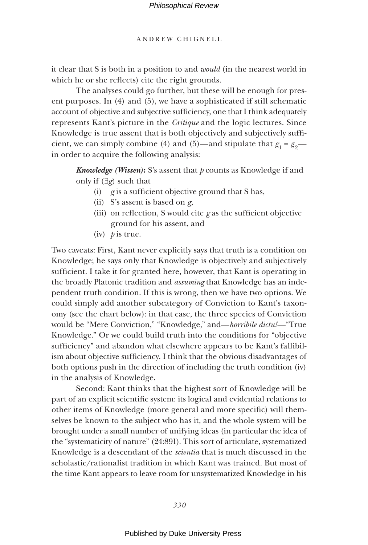it clear that S is both in a position to and *would* (in the nearest world in which he or she reflects) cite the right grounds.

The analyses could go further, but these will be enough for present purposes. In (4) and (5), we have a sophisticated if still schematic account of objective and subjective sufficiency, one that I think adequately represents Kant's picture in the *Critique* and the logic lectures. Since Knowledge is true assent that is both objectively and subjectively sufficient, we can simply combine (4) and (5)—and stipulate that  $g_1 = g_2$  in order to acquire the following analysis:

*Knowledge (Wissen)*: S's assent that *p* counts as Knowledge if and only if (∃*g*) such that

- (i)  $g$  is a sufficient objective ground that S has,
- (ii) S's assent is based on *g*,
- (iii) on reflection, S would cite  $g$  as the sufficient objective ground for his assent, and
- (iv) *p* is true.

Two caveats: First, Kant never explicitly says that truth is a condition on Knowledge; he says only that Knowledge is objectively and subjectively sufficient. I take it for granted here, however, that Kant is operating in the broadly Platonic tradition and *assuming* that Knowledge has an independent truth condition. If this is wrong, then we have two options. We could simply add another subcategory of Conviction to Kant's taxonomy (see the chart below): in that case, the three species of Conviction would be "Mere Conviction," "Knowledge," and—*horribile dictu!*—"True Knowledge." Or we could build truth into the conditions for "objective sufficiency" and abandon what elsewhere appears to be Kant's fallibilism about objective sufficiency. I think that the obvious disadvantages of both options push in the direction of including the truth condition (iv) in the analysis of Knowledge.

Second: Kant thinks that the highest sort of Knowledge will be part of an explicit scientific system: its logical and evidential relations to other items of Knowledge (more general and more specific) will themselves be known to the subject who has it, and the whole system will be brought under a small number of unifying ideas (in particular the idea of the "systematicity of nature" (24:891). This sort of articulate, systematized Knowledge is a descendant of the *scientia* that is much discussed in the scholastic/rationalist tradition in which Kant was trained. But most of the time Kant appears to leave room for unsystematized Knowledge in his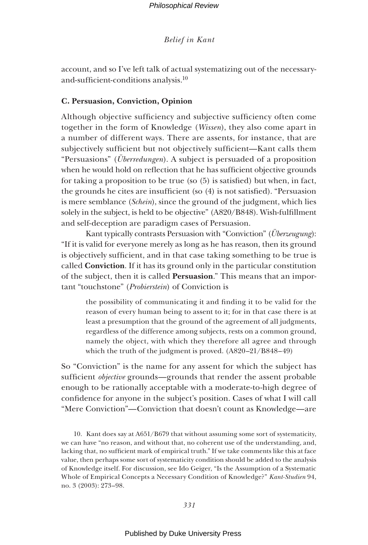account, and so I've left talk of actual systematizing out of the necessaryand-sufficient-conditions analysis. $10$ 

# **C. Persuasion, Conviction, Opinion**

Although objective sufficiency and subjective sufficiency often come together in the form of Knowledge (*Wissen*), they also come apart in a number of different ways. There are assents, for instance, that are subjectively sufficient but not objectively sufficient—Kant calls them "Persuasions" (*Überredungen*). A subject is persuaded of a proposition when he would hold on reflection that he has sufficient objective grounds for taking a proposition to be true (so  $(5)$  is satisfied) but when, in fact, the grounds he cites are insufficient (so  $(4)$  is not satisfied). "Persuasion is mere semblance (*Schein*), since the ground of the judgment, which lies solely in the subject, is held to be objective" (A820/B848). Wish-fulfillment and self-deception are paradigm cases of Persuasion.

Kant typically contrasts Persuasion with "Conviction" (*Überzeugung*): "If it is valid for everyone merely as long as he has reason, then its ground is objectively sufficient, and in that case taking something to be true is called **Conviction**. If it has its ground only in the particular constitution of the subject, then it is called **Persuasion**." This means that an important "touchstone" (*Probierstein*) of Conviction is

the possibility of communicating it and finding it to be valid for the reason of every human being to assent to it; for in that case there is at least a presumption that the ground of the agreement of all judgments, regardless of the difference among subjects, rests on a common ground, namely the object, with which they therefore all agree and through which the truth of the judgment is proved. (A820–21/B848–49)

So "Conviction" is the name for any assent for which the subject has sufficient *objective* grounds—grounds that render the assent probable enough to be rationally acceptable with a moderate-to-high degree of confidence for anyone in the subject's position. Cases of what I will call "Mere Conviction"—Conviction that doesn't count as Knowledge—are

10. Kant does say at A651/B679 that without assuming some sort of systematicity, we can have "no reason, and without that, no coherent use of the understanding, and, lacking that, no sufficient mark of empirical truth." If we take comments like this at face value, then perhaps some sort of systematicity condition should be added to the analysis of Knowledge itself. For discussion, see Ido Geiger, "Is the Assumption of a Systematic Whole of Empirical Concepts a Necessary Condition of Knowledge?" *Kant-Studien* 94, no. 3 (2003): 273–98.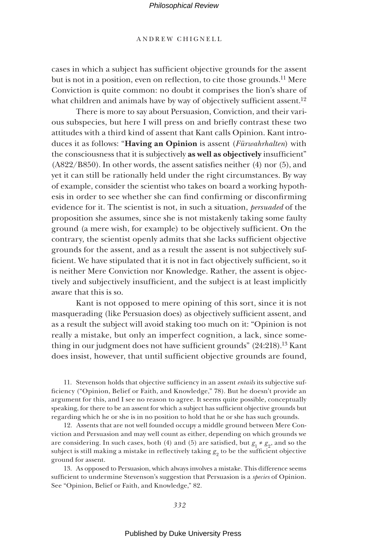### ANDREW CHIGNELL

cases in which a subject has sufficient objective grounds for the assent but is not in a position, even on reflection, to cite those grounds.<sup>11</sup> Mere Conviction is quite common: no doubt it comprises the lion's share of what children and animals have by way of objectively sufficient assent.<sup>12</sup>

There is more to say about Persuasion, Conviction, and their various subspecies, but here I will press on and briefly contrast these two attitudes with a third kind of assent that Kant calls Opinion. Kant introduces it as follows: "**Having an Opinion** is assent (*Fürwahrhalten*) with the consciousness that it is subjectively as well as objectively insufficient"  $(A822/B850)$ . In other words, the assent satisfies neither  $(4)$  nor  $(5)$ , and yet it can still be rationally held under the right circumstances. By way of example, consider the scientist who takes on board a working hypothesis in order to see whether she can find confirming or disconfirming evidence for it. The scientist is not, in such a situation, *persuaded* of the proposition she assumes, since she is not mistakenly taking some faulty ground (a mere wish, for example) to be objectively sufficient. On the contrary, the scientist openly admits that she lacks sufficient objective grounds for the assent, and as a result the assent is not subjectively sufficient. We have stipulated that it is not in fact objectively sufficient, so it is neither Mere Conviction nor Knowledge. Rather, the assent is objectively and subjectively insufficient, and the subject is at least implicitly aware that this is so.

Kant is not opposed to mere opining of this sort, since it is not masquerading (like Persuasion does) as objectively sufficient assent, and as a result the subject will avoid staking too much on it: "Opinion is not really a mistake, but only an imperfect cognition, a lack, since something in our judgment does not have sufficient grounds" (24:218).<sup>13</sup> Kant does insist, however, that until sufficient objective grounds are found,

11. Stevenson holds that objective sufficiency in an assent *entails* its subjective sufficiency ("Opinion, Belief or Faith, and Knowledge," 78). But he doesn't provide an argument for this, and I see no reason to agree. It seems quite possible, conceptually speaking, for there to be an assent for which a subject has sufficient objective grounds but regarding which he or she is in no position to hold that he or she has such grounds.

12. Assents that are not well founded occupy a middle ground between Mere Conviction and Persuasion and may well count as either, depending on which grounds we are considering. In such cases, both (4) and (5) are satisfied, but  $g_1 \neq g_2$ , and so the subject is still making a mistake in reflectively taking  $g_{_{2}}$  to be the sufficient objective ground for assent.

13. As opposed to Persuasion, which always involves a mistake. This difference seems sufficient to undermine Stevenson's suggestion that Persuasion is a *species* of Opinion. See "Opinion, Belief or Faith, and Knowledge," 82.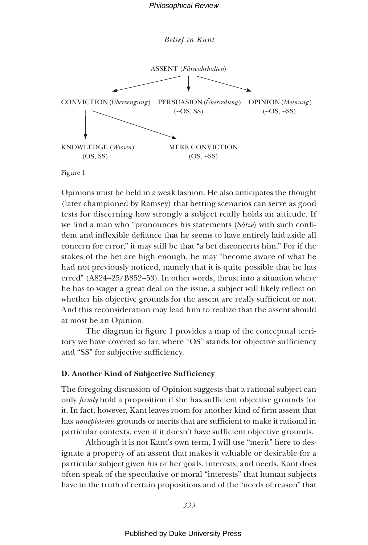

Figure 1

Opinions must be held in a weak fashion. He also anticipates the thought (later championed by Ramsey) that betting scenarios can serve as good tests for discerning how strongly a subject really holds an attitude. If we find a man who "pronounces his statements (*Sätze*) with such confident and inflexible defiance that he seems to have entirely laid aside all concern for error," it may still be that "a bet disconcerts him." For if the stakes of the bet are high enough, he may "become aware of what he had not previously noticed, namely that it is quite possible that he has erred" (A824–25/B852–53). In other words, thrust into a situation where he has to wager a great deal on the issue, a subject will likely reflect on whether his objective grounds for the assent are really sufficient or not. And this reconsideration may lead him to realize that the assent should at most be an Opinion.

The diagram in figure 1 provides a map of the conceptual territory we have covered so far, where "OS" stands for objective sufficiency and "SS" for subjective sufficiency.

# **D. Another Kind of Subjective Sufficiency**

The foregoing discussion of Opinion suggests that a rational subject can only *firmly* hold a proposition if she has sufficient objective grounds for it. In fact, however, Kant leaves room for another kind of firm assent that has *nonepistemic* grounds or merits that are sufficient to make it rational in particular contexts, even if it doesn't have sufficient objective grounds.

Although it is not Kant's own term, I will use "merit" here to designate a property of an assent that makes it valuable or desirable for a particular subject given his or her goals, interests, and needs. Kant does often speak of the speculative or moral "interests" that human subjects have in the truth of certain propositions and of the "needs of reason" that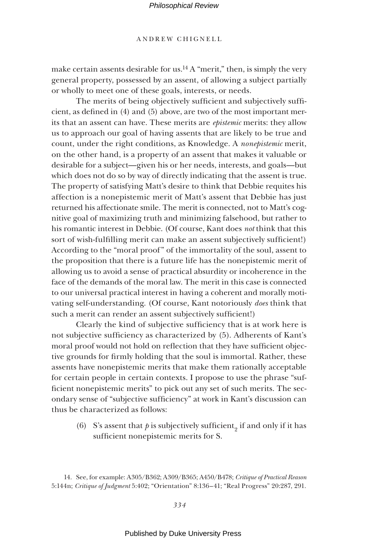### ANDREW CHIGNELL

make certain assents desirable for us.<sup>14</sup> A "merit," then, is simply the very general property, possessed by an assent, of allowing a subject partially or wholly to meet one of these goals, interests, or needs.

The merits of being objectively sufficient and subjectively sufficient, as defined in  $(4)$  and  $(5)$  above, are two of the most important merits that an assent can have. These merits are *epistemic* merits: they allow us to approach our goal of having assents that are likely to be true and count, under the right conditions, as Knowledge. A *nonepistemic* merit, on the other hand, is a property of an assent that makes it valuable or desirable for a subject—given his or her needs, interests, and goals—but which does not do so by way of directly indicating that the assent is true. The property of satisfying Matt's desire to think that Debbie requites his affection is a nonepistemic merit of Matt's assent that Debbie has just returned his affectionate smile. The merit is connected, not to Matt's cognitive goal of maximizing truth and minimizing falsehood, but rather to his romantic interest in Debbie. (Of course, Kant does *not* think that this sort of wish-fulfilling merit can make an assent subjectively sufficient!) According to the "moral proof" of the immortality of the soul, assent to the proposition that there is a future life has the nonepistemic merit of allowing us to avoid a sense of practical absurdity or incoherence in the face of the demands of the moral law. The merit in this case is connected to our universal practical interest in having a coherent and morally motivating self-understanding. (Of course, Kant notoriously *does* think that such a merit can render an assent subjectively sufficient!)

Clearly the kind of subjective sufficiency that is at work here is not subjective sufficiency as characterized by (5). Adherents of Kant's moral proof would not hold on reflection that they have sufficient objective grounds for firmly holding that the soul is immortal. Rather, these assents have nonepistemic merits that make them rationally acceptable for certain people in certain contexts. I propose to use the phrase "sufficient nonepistemic merits" to pick out any set of such merits. The secondary sense of "subjective sufficiency" at work in Kant's discussion can thus be characterized as follows:

(6) S's assent that  $p$  is subjectively sufficient<sub>2</sub> if and only if it has sufficient nonepistemic merits for S.

<sup>14.</sup> See, for example: A305/B362; A309/B365; A450/B478; *Critique of Practical Reason* 5:144n; *Critique of Judgment* 5:402; "Orientation" 8:136–41; "Real Progress" 20:287, 291.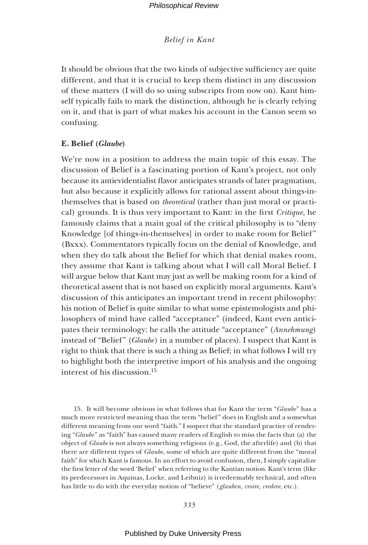It should be obvious that the two kinds of subjective sufficiency are quite different, and that it is crucial to keep them distinct in any discussion of these matters (I will do so using subscripts from now on). Kant himself typically fails to mark the distinction, although he is clearly relying on it, and that is part of what makes his account in the Canon seem so confusing.

# **E. Belief (***Glaube***)**

We're now in a position to address the main topic of this essay. The discussion of Belief is a fascinating portion of Kant's project, not only because its antievidentialist flavor anticipates strands of later pragmatism, but also because it explicitly allows for rational assent about things-inthemselves that is based on *theoretical* (rather than just moral or practical) grounds. It is thus very important to Kant: in the first *Critique*, he famously claims that a main goal of the critical philosophy is to "deny Knowledge [of things-in-themselves] in order to make room for Belief" (Bxxx). Commentators typically focus on the denial of Knowledge, and when they do talk about the Belief for which that denial makes room, they assume that Kant is talking about what I will call Moral Belief. I will argue below that Kant may just as well be making room for a kind of theoretical assent that is not based on explicitly moral arguments. Kant's discussion of this anticipates an important trend in recent philosophy: his notion of Belief is quite similar to what some epistemologists and philosophers of mind have called "acceptance" (indeed, Kant even anticipates their terminology: he calls the attitude "acceptance" (*Annehmung*) instead of "Belief" (*Glaube*) in a number of places). I suspect that Kant is right to think that there is such a thing as Belief; in what follows I will try to highlight both the interpretive import of his analysis and the ongoing interest of his discussion.15

15. It will become obvious in what follows that for Kant the term "*Glaube*" has a much more restricted meaning than the term "belief " does in English and a somewhat different meaning from our word "faith." I suspect that the standard practice of rendering "*Glaube* " as "faith" has caused many readers of English to miss the facts that (a) the object of *Glaube* is not always something religious (e.g., God, the afterlife) and (b) that there are different types of *Glaube*, some of which are quite different from the "moral faith" for which Kant is famous. In an effort to avoid confusion, then, I simply capitalize the first letter of the word 'Belief' when referring to the Kantian notion. Kant's term (like its predecessors in Aquinas, Locke, and Leibniz) is irredeemably technical, and often has little to do with the everyday notion of "believe" (*glauben, croire, credere*, etc.).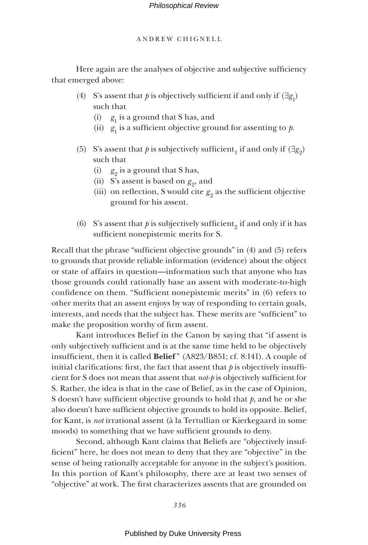Here again are the analyses of objective and subjective sufficiency that emerged above:

- (4) S's assent that *p* is objectively sufficient if and only if  $(\exists g_1)$ such that
	- (i)  $g_1$  is a ground that S has, and
	- (ii)  $g_1$  is a sufficient objective ground for assenting to  $p$ .
- (5) S's assent that *p* is subjectively sufficient, if and only if  $(\exists g_2)$ such that
	- (i)  $g_2$  is a ground that S has,
	- (ii) S's assent is based on  $g_2$ , and
	- (iii) on reflection, S would cite  $g_2$  as the sufficient objective ground for his assent.
- (6) S's assent that  $p$  is subjectively sufficient<sub>2</sub> if and only if it has sufficient nonepistemic merits for S.

Recall that the phrase "sufficient objective grounds" in  $(4)$  and  $(5)$  refers to grounds that provide reliable information (evidence) about the object or state of affairs in question—information such that anyone who has those grounds could rationally base an assent with moderate-to-high confidence on them. "Sufficient nonepistemic merits" in (6) refers to other merits that an assent enjoys by way of responding to certain goals, interests, and needs that the subject has. These merits are "sufficient" to make the proposition worthy of firm assent.

Kant introduces Belief in the Canon by saying that "if assent is only subjectively sufficient and is at the same time held to be objectively insufficient, then it is called **Belief**" (A823/B851; cf. 8:141). A couple of initial clarifications: first, the fact that assent that  $p$  is objectively insufficient for S does not mean that assent that  $not$  is objectively sufficient for S. Rather, the idea is that in the case of Belief, as in the case of Opinion, S doesn't have sufficient objective grounds to hold that  $p$ , and he or she also doesn't have sufficient objective grounds to hold its opposite. Belief, for Kant, is *not* irrational assent (à la Tertullian or Kierkegaard in some moods) to something that we have sufficient grounds to deny.

Second, although Kant claims that Beliefs are "objectively insufficient" here, he does not mean to deny that they are "objective" in the sense of being rationally acceptable for anyone in the subject's position. In this portion of Kant's philosophy, there are at least two senses of "objective" at work. The first characterizes assents that are grounded on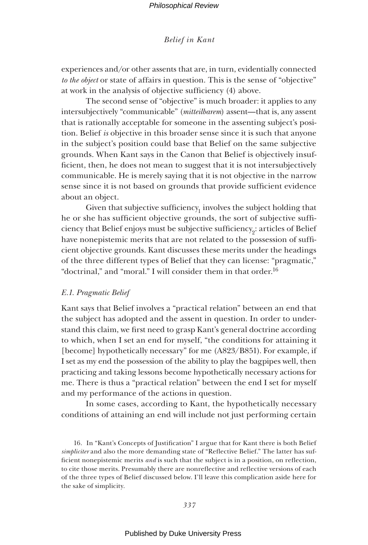experiences and/or other assents that are, in turn, evidentially connected *to the object* or state of affairs in question. This is the sense of "objective" at work in the analysis of objective sufficiency (4) above.

The second sense of "objective" is much broader: it applies to any intersubjectively "communicable" (*mitteilbarem*) assent—that is, any assent that is rationally acceptable for someone in the assenting subject's position. Belief *is* objective in this broader sense since it is such that anyone in the subject's position could base that Belief on the same subjective grounds. When Kant says in the Canon that Belief is objectively insufficient, then, he does not mean to suggest that it is not intersubjectively communicable. He is merely saying that it is not objective in the narrow sense since it is not based on grounds that provide sufficient evidence about an object.

Given that subjective sufficiency $_1$  involves the subject holding that he or she has sufficient objective grounds, the sort of subjective sufficiency that Belief enjoys must be subjective sufficiency $_2$ : articles of Belief have nonepistemic merits that are not related to the possession of sufficient objective grounds. Kant discusses these merits under the headings of the three different types of Belief that they can license: "pragmatic," "doctrinal," and "moral." I will consider them in that order.16

### *E.1. Pragmatic Belief*

Kant says that Belief involves a "practical relation" between an end that the subject has adopted and the assent in question. In order to understand this claim, we first need to grasp Kant's general doctrine according to which, when I set an end for myself, "the conditions for attaining it [become] hypothetically necessary" for me (A823/B851). For example, if I set as my end the possession of the ability to play the bagpipes well, then practicing and taking lessons become hypothetically necessary actions for me. There is thus a "practical relation" between the end I set for myself and my performance of the actions in question.

In some cases, according to Kant, the hypothetically necessary conditions of attaining an end will include not just performing certain

16. In "Kant's Concepts of Justification" I argue that for Kant there is both Belief *simpliciter* and also the more demanding state of "Reflective Belief." The latter has sufficient nonepistemic merits *and* is such that the subject is in a position, on reflection, to cite those merits. Presumably there are nonreflective and reflective versions of each of the three types of Belief discussed below. I'll leave this complication aside here for the sake of simplicity.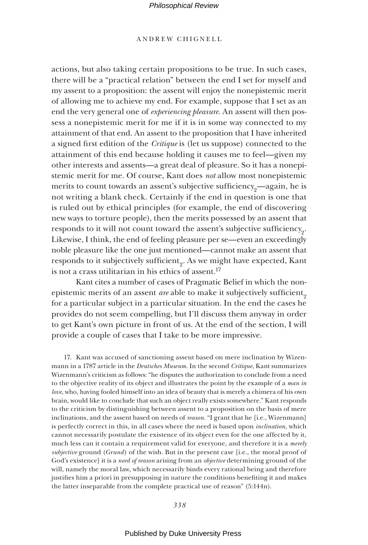# ANDREW CHIGNELL

actions, but also taking certain propositions to be true. In such cases, there will be a "practical relation" between the end I set for myself and my assent to a proposition: the assent will enjoy the nonepistemic merit of allowing me to achieve my end. For example, suppose that I set as an end the very general one of *experiencing pleasure*. An assent will then possess a nonepistemic merit for me if it is in some way connected to my attainment of that end. An assent to the proposition that I have inherited a signed first edition of the *Critique* is (let us suppose) connected to the attainment of this end because holding it causes me to feel—given my other interests and assents—a great deal of pleasure. So it has a nonepistemic merit for me. Of course, Kant does *not* allow most nonepistemic merits to count towards an assent's subjective sufficiency<sub>o</sub>—again, he is not writing a blank check. Certainly if the end in question is one that is ruled out by ethical principles (for example, the end of discovering new ways to torture people), then the merits possessed by an assent that responds to it will not count toward the assent's subjective sufficiency<sub>2</sub>. Likewise, I think, the end of feeling pleasure per se—even an exceedingly noble pleasure like the one just mentioned—cannot make an assent that responds to it subjectively sufficient<sub>9</sub>. As we might have expected, Kant is not a crass utilitarian in his ethics of assent.<sup>17</sup>

Kant cites a number of cases of Pragmatic Belief in which the nonepistemic merits of an assent *are* able to make it subjectively sufficient<sub>o</sub> for a particular subject in a particular situation. In the end the cases he provides do not seem compelling, but I'll discuss them anyway in order to get Kant's own picture in front of us. At the end of the section, I will provide a couple of cases that I take to be more impressive.

17. Kant was accused of sanctioning assent based on mere inclination by Wizenmann in a 1787 article in the *Deutsches Museum*. In the second *Critique*, Kant summarizes Wizenmann's criticism as follows: "he disputes the authorization to conclude from a need to the objective reality of its object and illustrates the point by the example of a *man in love*, who, having fooled himself into an idea of beauty that is merely a chimera of his own brain, would like to conclude that such an object really exists somewhere." Kant responds to the criticism by distinguishing between assent to a proposition on the basis of mere inclinations, and the assent based on needs of *reason*. "I grant that he [i.e., Wizenmann] is perfectly correct in this, in all cases where the need is based upon *inclination*, which cannot necessarily postulate the existence of its object even for the one affected by it, much less can it contain a requirement valid for everyone, and therefore it is a *merely subjective* ground (*Grund*) of the wish. But in the present case [i.e., the moral proof of God's existence] it is a *need of reason* arising from an *objective* determining ground of the will, namely the moral law, which necessarily binds every rational being and therefore justifies him a priori in presupposing in nature the conditions benefiting it and makes the latter inseparable from the complete practical use of reason" (5:144n).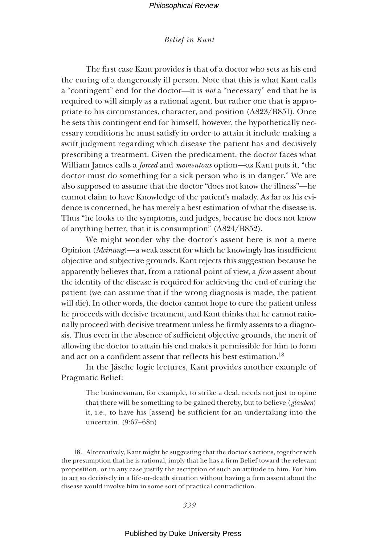# *Belief in Kant*

The first case Kant provides is that of a doctor who sets as his end the curing of a dangerously ill person. Note that this is what Kant calls a "contingent" end for the doctor—it is *not* a "necessary" end that he is required to will simply as a rational agent, but rather one that is appropriate to his circumstances, character, and position (A823/B851). Once he sets this contingent end for himself, however, the hypothetically necessary conditions he must satisfy in order to attain it include making a swift judgment regarding which disease the patient has and decisively prescribing a treatment. Given the predicament, the doctor faces what William James calls a *forced* and *momentous* option—as Kant puts it, "the doctor must do something for a sick person who is in danger." We are also supposed to assume that the doctor "does not know the illness"—he cannot claim to have Knowledge of the patient's malady. As far as his evidence is concerned, he has merely a best estimation of what the disease is. Thus "he looks to the symptoms, and judges, because he does not know of anything better, that it is consumption" (A824/B852).

We might wonder why the doctor's assent here is not a mere Opinion (*Meinung*)—a weak assent for which he knowingly has insufficient objective and subjective grounds. Kant rejects this suggestion because he apparently believes that, from a rational point of view, a *firm* assent about the identity of the disease is required for achieving the end of curing the patient (we can assume that if the wrong diagnosis is made, the patient will die). In other words, the doctor cannot hope to cure the patient unless he proceeds with decisive treatment, and Kant thinks that he cannot rationally proceed with decisive treatment unless he firmly assents to a diagnosis. Thus even in the absence of sufficient objective grounds, the merit of allowing the doctor to attain his end makes it permissible for him to form and act on a confident assent that reflects his best estimation.<sup>18</sup>

In the Jäsche logic lectures, Kant provides another example of Pragmatic Belief:

The businessman, for example, to strike a deal, needs not just to opine that there will be something to be gained thereby, but to believe (*glauben*) it, i.e., to have his [assent] be sufficient for an undertaking into the uncertain. (9:67–68n)

18. Alternatively, Kant might be suggesting that the doctor's actions, together with the presumption that he is rational, imply that he has a firm Belief toward the relevant proposition, or in any case justify the ascription of such an attitude to him. For him to act so decisively in a life-or-death situation without having a firm assent about the disease would involve him in some sort of practical contradiction.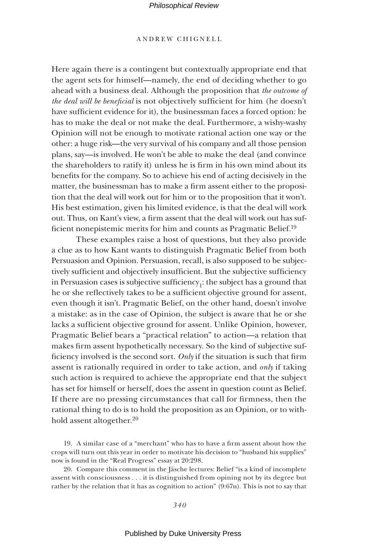### ANDREW CHIGNELL

Here again there is a contingent but contextually appropriate end that the agent sets for himself—namely, the end of deciding whether to go ahead with a business deal. Although the proposition that *the outcome of the deal will be beneficial* is not objectively sufficient for him (he doesn't have sufficient evidence for it), the businessman faces a forced option: he has to make the deal or not make the deal. Furthermore, a wishy-washy Opinion will not be enough to motivate rational action one way or the other: a huge risk—the very survival of his company and all those pension plans, say—is involved. He won't be able to make the deal (and convince the shareholders to ratify it) unless he is firm in his own mind about its benefits for the company. So to achieve his end of acting decisively in the matter, the businessman has to make a firm assent either to the proposition that the deal will work out for him or to the proposition that it won't. His best estimation, given his limited evidence, is that the deal will work out. Thus, on Kant's view, a firm assent that the deal will work out has sufficient nonepistemic merits for him and counts as Pragmatic Belief.<sup>19</sup>

These examples raise a host of questions, but they also provide a clue as to how Kant wants to distinguish Pragmatic Belief from both Persuasion and Opinion. Persuasion, recall, is also supposed to be subjectively sufficient and objectively insufficient. But the subjective sufficiency in Persuasion cases is subjective sufficiency $_1$ : the subject has a ground that he or she reflectively takes to be a sufficient objective ground for assent, even though it isn't. Pragmatic Belief, on the other hand, doesn't involve a mistake: as in the case of Opinion, the subject is aware that he or she lacks a sufficient objective ground for assent. Unlike Opinion, however, Pragmatic Belief bears a "practical relation" to action—a relation that makes firm assent hypothetically necessary. So the kind of subjective sufficiency involved is the second sort. Only if the situation is such that firm assent is rationally required in order to take action, and *only* if taking such action is required to achieve the appropriate end that the subject has set for himself or herself, does the assent in question count as Belief. If there are no pressing circumstances that call for firmness, then the rational thing to do is to hold the proposition as an Opinion, or to withhold assent altogether.<sup>20</sup>

19. A similar case of a "merchant" who has to have a firm assent about how the crops will turn out this year in order to motivate his decision to "husband his supplies" now is found in the "Real Progress" essay at 20:298.

20. Compare this comment in the Jäsche lectures: Belief "is a kind of incomplete assent with consciousness . . . it is distinguished from opining not by its degree but rather by the relation that it has as cognition to action" (9:67n). This is not to say that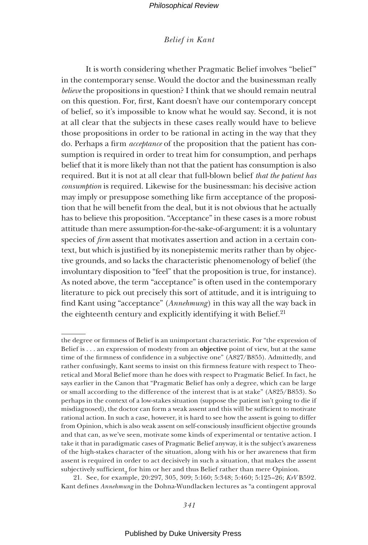# *Belief in Kant*

It is worth considering whether Pragmatic Belief involves "belief " in the contemporary sense. Would the doctor and the businessman really *believe* the propositions in question? I think that we should remain neutral on this question. For, first, Kant doesn't have our contemporary concept of belief, so it's impossible to know what he would say. Second, it is not at all clear that the subjects in these cases really would have to believe those propositions in order to be rational in acting in the way that they do. Perhaps a firm *acceptance* of the proposition that the patient has consumption is required in order to treat him for consumption, and perhaps belief that it is more likely than not that the patient has consumption is also required. But it is not at all clear that full-blown belief *that the patient has consumption* is required. Likewise for the businessman: his decisive action may imply or presuppose something like firm acceptance of the proposition that he will benefit from the deal, but it is not obvious that he actually has to believe this proposition. "Acceptance" in these cases is a more robust attitude than mere assumption-for-the-sake-of-argument: it is a voluntary species of *firm* assent that motivates assertion and action in a certain context, but which is justified by its nonepistemic merits rather than by objective grounds, and so lacks the characteristic phenomenology of belief (the involuntary disposition to "feel" that the proposition is true, for instance). As noted above, the term "acceptance" is often used in the contemporary literature to pick out precisely this sort of attitude, and it is intriguing to find Kant using "acceptance" (*Annehmung*) in this way all the way back in the eighteenth century and explicitly identifying it with Belief.<sup>21</sup>

21. See, for example, 20:297, 305, 309; 5:160; 5:348; 5:460; 5:125–26; *KrV* B592. Kant defines *Annehmung* in the Dohna-Wundlacken lectures as "a contingent approval

the degree or firmness of Belief is an unimportant characteristic. For "the expression of Belief is . . . an expression of modesty from an **objective** point of view, but at the same time of the firmness of confidence in a subjective one" (A827/B855). Admittedly, and rather confusingly, Kant seems to insist on this firmness feature with respect to Theoretical and Moral Belief more than he does with respect to Pragmatic Belief. In fact, he says earlier in the Canon that "Pragmatic Belief has only a degree, which can be large or small according to the difference of the interest that is at stake" (A825/B853). So perhaps in the context of a low-stakes situation (suppose the patient isn't going to die if misdiagnosed), the doctor can form a weak assent and this will be sufficient to motivate rational action. In such a case, however, it is hard to see how the assent is going to differ from Opinion, which is also weak assent on self-consciously insufficient objective grounds and that can, as we've seen, motivate some kinds of experimental or tentative action. I take it that in paradigmatic cases of Pragmatic Belief anyway, it is the subject's awareness of the high-stakes character of the situation, along with his or her awareness that firm assent is required in order to act decisively in such a situation, that makes the assent  $\mathrm{subjectively}$  sufficient $_2$  for him or her and thus Belief rather than mere Opinion.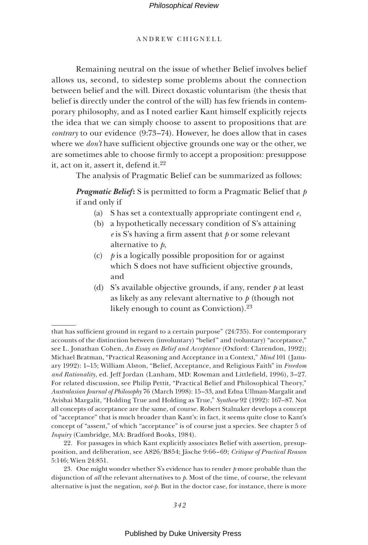# ANDREW CHIGNELL

Remaining neutral on the issue of whether Belief involves belief allows us, second, to sidestep some problems about the connection between belief and the will. Direct doxastic voluntarism (the thesis that belief is directly under the control of the will) has few friends in contemporary philosophy, and as I noted earlier Kant himself explicitly rejects the idea that we can simply choose to assent to propositions that are *contrary* to our evidence (9:73–74). However, he does allow that in cases where we *don't* have sufficient objective grounds one way or the other, we are sometimes able to choose firmly to accept a proposition: presuppose it, act on it, assert it, defend it.<sup>22</sup>

The analysis of Pragmatic Belief can be summarized as follows:

*Pragmatic Belief* **:** S is permitted to form a Pragmatic Belief that *p* if and only if

- (a) S has set a contextually appropriate contingent end *e*,
- (b) a hypothetically necessary condition of S's attaining  $e$  is S's having a firm assent that  $p$  or some relevant alternative to *p*,
- (c) *p* is a logically possible proposition for or against which S does not have sufficient objective grounds, and
- (d) S's available objective grounds, if any, render *p* at least as likely as any relevant alternative to *p* (though not likely enough to count as Conviction).<sup>23</sup>

that has sufficient ground in regard to a certain purpose" (24:735). For contemporary accounts of the distinction between (involuntary) "belief" and (voluntary) "acceptance," see L. Jonathan Cohen, *An Essay on Belief and Acceptance* (Oxford: Clarendon, 1992); Michael Bratman, "Practical Reasoning and Acceptance in a Context," *Mind* 101 (January 1992): 1–15; William Alston, "Belief, Acceptance, and Religious Faith" in *Freedom*  and Rationality, ed. Jeff Jordan (Lanham, MD: Rowman and Littlefield, 1996), 3-27. For related discussion, see Philip Pettit, "Practical Belief and Philosophical Theory," *Australasian Journal of Philosophy* 76 (March 1998): 15–33, and Edna Ullman-Margalit and Avishai Margalit, "Holding True and Holding as True," *Synthese* 92 (1992): 167–87. Not all concepts of acceptance are the same, of course. Robert Stalnaker develops a concept of "acceptance" that is much broader than Kant's: in fact, it seems quite close to Kant's concept of "assent," of which "acceptance" is of course just a species. See chapter 5 of *Inquiry* (Cambridge, MA: Bradford Books, 1984).

<sup>22.</sup> For passages in which Kant explicitly associates Belief with assertion, presupposition, and deliberation, see A826/B854; Jäsche 9:66–69; *Critique of Practical Reason* 5:146; Wien 24:851.

<sup>23.</sup> One might wonder whether S's evidence has to render *p* more probable than the disjunction of *all* the relevant alternatives to *p*. Most of the time, of course, the relevant alternative is just the negation, *not-p*. But in the doctor case, for instance, there is more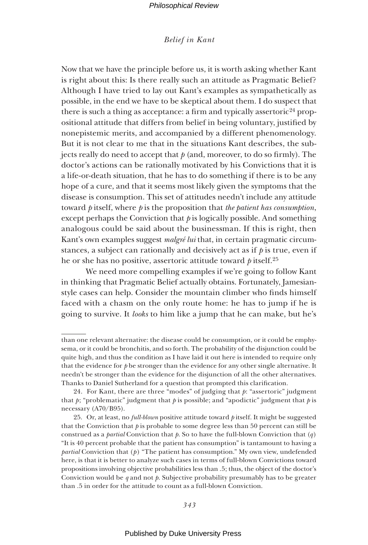# *Belief in Kant*

Now that we have the principle before us, it is worth asking whether Kant is right about this: Is there really such an attitude as Pragmatic Belief? Although I have tried to lay out Kant's examples as sympathetically as possible, in the end we have to be skeptical about them. I do suspect that there is such a thing as acceptance: a firm and typically assertoric<sup>24</sup> propositional attitude that differs from belief in being voluntary, justified by nonepistemic merits, and accompanied by a different phenomenology. But it is not clear to me that in the situations Kant describes, the subjects really do need to accept that  $p$  (and, moreover, to do so firmly). The doctor's actions can be rationally motivated by his Convictions that it is a life-or-death situation, that he has to do something if there is to be any hope of a cure, and that it seems most likely given the symptoms that the disease is consumption. This set of attitudes needn't include any attitude toward *p* itself, where *p* is the proposition that *the patient has consumption*, except perhaps the Conviction that  $\phi$  is logically possible. And something analogous could be said about the businessman. If this is right, then Kant's own examples suggest *malgré lui* that, in certain pragmatic circumstances, a subject can rationally and decisively act as if *p* is true, even if he or she has no positive, assertoric attitude toward *p* itself.25

We need more compelling examples if we're going to follow Kant in thinking that Pragmatic Belief actually obtains. Fortunately, Jamesianstyle cases can help. Consider the mountain climber who finds himself faced with a chasm on the only route home: he has to jump if he is going to survive. It *looks* to him like a jump that he can make, but he's

than one relevant alternative: the disease could be consumption, or it could be emphysema, or it could be bronchitis, and so forth. The probability of the disjunction could be quite high, and thus the condition as I have laid it out here is intended to require only that the evidence for *p* be stronger than the evidence for any other single alternative. It needn't be stronger than the evidence for the disjunction of all the other alternatives. Thanks to Daniel Sutherland for a question that prompted this clarification.

<sup>24.</sup> For Kant, there are three "modes" of judging that *p*: "assertoric" judgment that  $p$ ; "problematic" judgment that  $p$  is possible; and "apodictic" judgment that  $p$  is necessary (A70/B95).

<sup>25.</sup> Or, at least, no *full-blown* positive attitude toward *p* itself. It might be suggested that the Conviction that  $\dot{p}$  is probable to some degree less than 50 percent can still be construed as a *partial* Conviction that *p*. So to have the full-blown Conviction that (*q* ) "It is 40 percent probable that the patient has consumption" is tantamount to having a *partial* Conviction that (*p* ) "The patient has consumption." My own view, undefended here, is that it is better to analyze such cases in terms of full-blown Convictions toward propositions involving objective probabilities less than .5; thus, the object of the doctor's Conviction would be *q* and not *p*. Subjective probability presumably has to be greater than .5 in order for the attitude to count as a full-blown Conviction.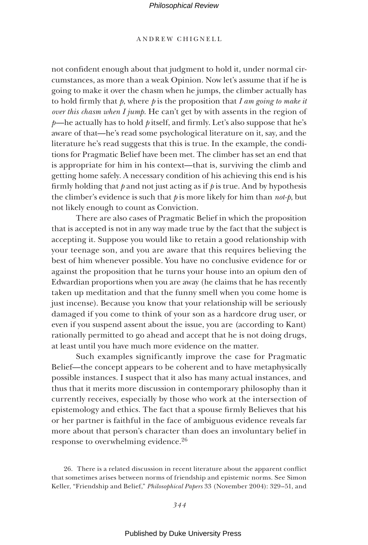# ANDREW CHIGNELL

not confident enough about that judgment to hold it, under normal circumstances, as more than a weak Opinion. Now let's assume that if he is going to make it over the chasm when he jumps, the climber actually has to hold firmly that  $p$ , where  $p$  is the proposition that  $I$  *am going to make it over this chasm when I jump*. He can't get by with assents in the region of  $p$ —he actually has to hold  $p$  itself, and firmly. Let's also suppose that he's aware of that—he's read some psychological literature on it, say, and the literature he's read suggests that this is true. In the example, the conditions for Pragmatic Belief have been met. The climber has set an end that is appropriate for him in his context—that is, surviving the climb and getting home safely. A necessary condition of his achieving this end is his firmly holding that  $p$  and not just acting as if  $p$  is true. And by hypothesis the climber's evidence is such that *p* is more likely for him than *not-p*, but not likely enough to count as Conviction.

There are also cases of Pragmatic Belief in which the proposition that is accepted is not in any way made true by the fact that the subject is accepting it. Suppose you would like to retain a good relationship with your teenage son, and you are aware that this requires believing the best of him whenever possible. You have no conclusive evidence for or against the proposition that he turns your house into an opium den of Edwardian proportions when you are away (he claims that he has recently taken up meditation and that the funny smell when you come home is just incense). Because you know that your relationship will be seriously damaged if you come to think of your son as a hardcore drug user, or even if you suspend assent about the issue, you are (according to Kant) rationally permitted to go ahead and accept that he is not doing drugs, at least until you have much more evidence on the matter.

Such examples significantly improve the case for Pragmatic Belief—the concept appears to be coherent and to have metaphysically possible instances. I suspect that it also has many actual instances, and thus that it merits more discussion in contemporary philosophy than it currently receives, especially by those who work at the intersection of epistemology and ethics. The fact that a spouse firmly Believes that his or her partner is faithful in the face of ambiguous evidence reveals far more about that person's character than does an involuntary belief in response to overwhelming evidence.26

<sup>26.</sup> There is a related discussion in recent literature about the apparent conflict that sometimes arises between norms of friendship and epistemic norms. See Simon Keller, "Friendship and Belief," *Philosophical Papers* 33 (November 2004): 329–51, and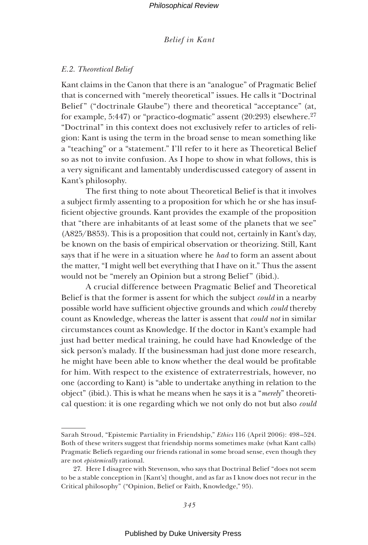# *E.2. Theoretical Belief*

Kant claims in the Canon that there is an "analogue" of Pragmatic Belief that is concerned with "merely theoretical" issues. He calls it "Doctrinal Belief" ("doctrinale Glaube") there and theoretical "acceptance" (at, for example, 5:447) or "practico-dogmatic" assent  $(20:293)$  elsewhere.<sup>27</sup> "Doctrinal" in this context does not exclusively refer to articles of religion: Kant is using the term in the broad sense to mean something like a "teaching" or a "statement." I'll refer to it here as Theoretical Belief so as not to invite confusion. As I hope to show in what follows, this is a very significant and lamentably underdiscussed category of assent in Kant's philosophy.

The first thing to note about Theoretical Belief is that it involves a subject firmly assenting to a proposition for which he or she has insufficient objective grounds. Kant provides the example of the proposition that "there are inhabitants of at least some of the planets that we see" (A825/B853). This is a proposition that could not, certainly in Kant's day, be known on the basis of empirical observation or theorizing. Still, Kant says that if he were in a situation where he *had* to form an assent about the matter, "I might well bet everything that I have on it." Thus the assent would not be "merely an Opinion but a strong Belief" (ibid.).

A crucial difference between Pragmatic Belief and Theoretical Belief is that the former is assent for which the subject *could* in a nearby possible world have sufficient objective grounds and which *could* thereby count as Knowledge, whereas the latter is assent that *could not* in similar circumstances count as Knowledge. If the doctor in Kant's example had just had better medical training, he could have had Knowledge of the sick person's malady. If the businessman had just done more research, he might have been able to know whether the deal would be profitable for him. With respect to the existence of extraterrestrials, however, no one (according to Kant) is "able to undertake anything in relation to the object" (ibid.). This is what he means when he says it is a "*merely*" theoretical question: it is one regarding which we not only do not but also *could* 

Sarah Stroud, "Epistemic Partiality in Friendship," *Ethics* 116 (April 2006): 498–524. Both of these writers suggest that friendship norms sometimes make (what Kant calls) Pragmatic Beliefs regarding our friends rational in some broad sense, even though they are not *epistemically* rational.

<sup>27.</sup> Here I disagree with Stevenson, who says that Doctrinal Belief "does not seem to be a stable conception in [Kant's] thought, and as far as I know does not recur in the Critical philosophy" ("Opinion, Belief or Faith, Knowledge," 95).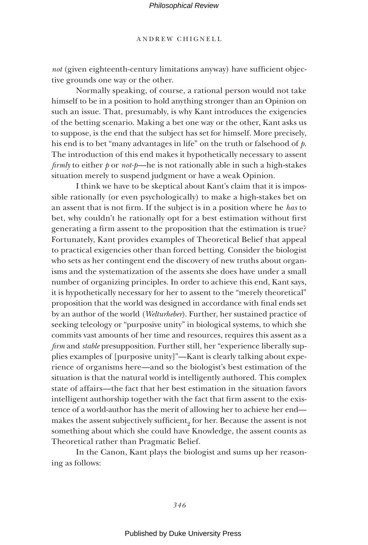# ANDREW CHIGNELL

*not* (given eighteenth-century limitations anyway) have sufficient objective grounds one way or the other.

Normally speaking, of course, a rational person would not take himself to be in a position to hold anything stronger than an Opinion on such an issue. That, presumably, is why Kant introduces the exigencies of the betting scenario. Making a bet one way or the other, Kant asks us to suppose, is the end that the subject has set for himself. More precisely, his end is to bet "many advantages in life" on the truth or falsehood of *p*. The introduction of this end makes it hypothetically necessary to assent *firmly* to either *p* or *not-p*—he is not rationally able in such a high-stakes situation merely to suspend judgment or have a weak Opinion.

I think we have to be skeptical about Kant's claim that it is impossible rationally (or even psychologically) to make a high-stakes bet on an assent that is not firm. If the subject is in a position where he *has* to bet, why couldn't he rationally opt for a best estimation without first generating a firm assent to the proposition that the estimation is true? Fortunately, Kant provides examples of Theoretical Belief that appeal to practical exigencies other than forced betting. Consider the biologist who sets as her contingent end the discovery of new truths about organisms and the systematization of the assents she does have under a small number of organizing principles. In order to achieve this end, Kant says, it is hypothetically necessary for her to assent to the "merely theoretical" proposition that the world was designed in accordance with final ends set by an author of the world (*Welturheber*). Further, her sustained practice of seeking teleology or "purposive unity" in biological systems, to which she commits vast amounts of her time and resources, requires this assent as a *firm* and *stable* presupposition. Further still, her "experience liberally supplies examples of [purposive unity]"—Kant is clearly talking about experience of organisms here—and so the biologist's best estimation of the situation is that the natural world is intelligently authored. This complex state of affairs—the fact that her best estimation in the situation favors intelligent authorship together with the fact that firm assent to the existence of a world-author has the merit of allowing her to achieve her end makes the assent subjectively sufficient $_{2}$  for her. Because the assent is not something about which she could have Knowledge, the assent counts as Theoretical rather than Pragmatic Belief.

In the Canon, Kant plays the biologist and sums up her reasoning as follows: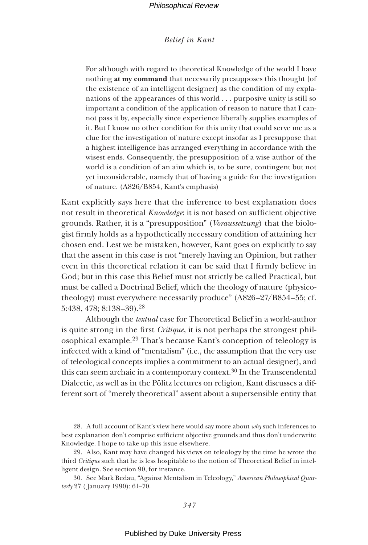# *Belief in Kant*

For although with regard to theoretical Knowledge of the world I have nothing **at my command** that necessarily presupposes this thought [of the existence of an intelligent designer] as the condition of my explanations of the appearances of this world . . . purposive unity is still so important a condition of the application of reason to nature that I cannot pass it by, especially since experience liberally supplies examples of it. But I know no other condition for this unity that could serve me as a clue for the investigation of nature except insofar as I presuppose that a highest intelligence has arranged everything in accordance with the wisest ends. Consequently, the presupposition of a wise author of the world is a condition of an aim which is, to be sure, contingent but not yet inconsiderable, namely that of having a guide for the investigation of nature. (A826/B854, Kant's emphasis)

Kant explicitly says here that the inference to best explanation does not result in theoretical *Knowledge*: it is not based on sufficient objective grounds. Rather, it is a "presupposition" (*Voraussetzung*) that the biologist firmly holds as a hypothetically necessary condition of attaining her chosen end. Lest we be mistaken, however, Kant goes on explicitly to say that the assent in this case is not "merely having an Opinion, but rather even in this theoretical relation it can be said that I firmly believe in God; but in this case this Belief must not strictly be called Practical, but must be called a Doctrinal Belief, which the theology of nature (physicotheology) must everywhere necessarily produce" (A826–27/B854–55; cf. 5:438, 478; 8:138–39).28

Although the *textual* case for Theoretical Belief in a world-author is quite strong in the first *Critique*, it is not perhaps the strongest philosophical example.29 That's because Kant's conception of teleology is infected with a kind of "mentalism" (i.e., the assumption that the very use of teleological concepts implies a commitment to an actual designer), and this can seem archaic in a contemporary context.<sup>30</sup> In the Transcendental Dialectic, as well as in the Pölitz lectures on religion, Kant discusses a different sort of "merely theoretical" assent about a supersensible entity that

28. A full account of Kant's view here would say more about *why* such inferences to best explanation don't comprise sufficient objective grounds and thus don't underwrite Knowledge. I hope to take up this issue elsewhere.

29. Also, Kant may have changed his views on teleology by the time he wrote the third *Critique* such that he is less hospitable to the notion of Theoretical Belief in intelligent design. See section 90, for instance.

30. See Mark Bedau, "Against Mentalism in Teleology," *American Philosophical Quarterly* 27 ( January 1990): 61–70.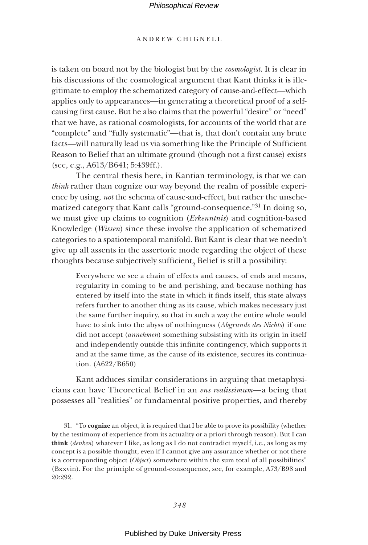### ANDREW CHIGNELL

is taken on board not by the biologist but by the *cosmologist*. It is clear in his discussions of the cosmological argument that Kant thinks it is illegitimate to employ the schematized category of cause-and-effect—which applies only to appearances—in generating a theoretical proof of a selfcausing first cause. But he also claims that the powerful "desire" or "need" that we have, as rational cosmologists, for accounts of the world that are "complete" and "fully systematic"—that is, that don't contain any brute facts—will naturally lead us via something like the Principle of Sufficient Reason to Belief that an ultimate ground (though not a first cause) exists (see, e.g., A613/B641; 5:439ff.).

The central thesis here, in Kantian terminology, is that we can *think* rather than cognize our way beyond the realm of possible experience by using, *not* the schema of cause-and-effect, but rather the unschematized category that Kant calls "ground-consequence."31 In doing so, we must give up claims to cognition (*Erkenntnis*) and cognition-based Knowledge (*Wissen*) since these involve the application of schematized categories to a spatiotemporal manifold. But Kant is clear that we needn't give up all assents in the assertoric mode regarding the object of these thoughts because subjectively sufficient<sub>2</sub> Belief is still a possibility:

Everywhere we see a chain of effects and causes, of ends and means, regularity in coming to be and perishing, and because nothing has entered by itself into the state in which it finds itself, this state always refers further to another thing as its cause, which makes necessary just the same further inquiry, so that in such a way the entire whole would have to sink into the abyss of nothingness (*Abgrunde des Nichts*) if one did not accept (*annehmen*) something subsisting with its origin in itself and independently outside this infinite contingency, which supports it and at the same time, as the cause of its existence, secures its continuation. (A622/B650)

Kant adduces similar considerations in arguing that metaphysicians can have Theoretical Belief in an *ens realissimum*—a being that possesses all "realities" or fundamental positive properties, and thereby

31. "To **cognize** an object, it is required that I be able to prove its possibility (whether by the testimony of experience from its actuality or a priori through reason). But I can **think** (*denken*) whatever I like, as long as I do not contradict myself, i.e., as long as my concept is a possible thought, even if I cannot give any assurance whether or not there is a corresponding object (*Object*) somewhere within the sum total of all possibilities" (Bxxvin). For the principle of ground-consequence, see, for example, A73/B98 and 20:292.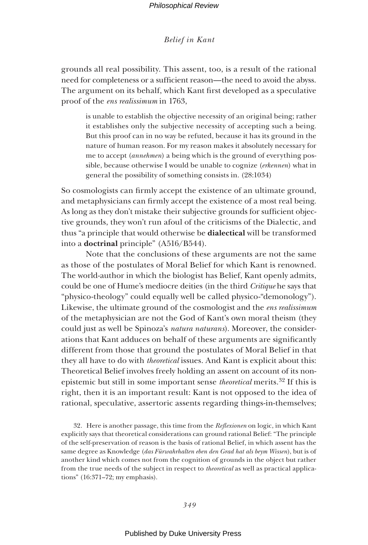grounds all real possibility. This assent, too, is a result of the rational need for completeness or a sufficient reason—the need to avoid the abyss. The argument on its behalf, which Kant first developed as a speculative proof of the *ens realissimum* in 1763,

is unable to establish the objective necessity of an original being; rather it establishes only the subjective necessity of accepting such a being. But this proof can in no way be refuted, because it has its ground in the nature of human reason. For my reason makes it absolutely necessary for me to accept (*annehmen*) a being which is the ground of everything possible, because otherwise I would be unable to cognize (*erkennen*) what in general the possibility of something consists in. (28:1034)

So cosmologists can firmly accept the existence of an ultimate ground, and metaphysicians can firmly accept the existence of a most real being. As long as they don't mistake their subjective grounds for sufficient objective grounds, they won't run afoul of the criticisms of the Dialectic, and thus "a principle that would otherwise be **dialectical** will be transformed into a **doctrinal** principle" (A516/B544).

Note that the conclusions of these arguments are not the same as those of the postulates of Moral Belief for which Kant is renowned. The world-author in which the biologist has Belief, Kant openly admits, could be one of Hume's mediocre deities (in the third *Critique* he says that "physico-theology" could equally well be called physico-"demonology"). Likewise, the ultimate ground of the cosmologist and the *ens realissimum* of the metaphysician are not the God of Kant's own moral theism (they could just as well be Spinoza's *natura naturans*). Moreover, the considerations that Kant adduces on behalf of these arguments are significantly different from those that ground the postulates of Moral Belief in that they all have to do with *theoretical* issues. And Kant is explicit about this: Theoretical Belief involves freely holding an assent on account of its nonepistemic but still in some important sense *theoretical* merits.32 If this is right, then it is an important result: Kant is not opposed to the idea of rational, speculative, assertoric assents regarding things-in-themselves;

32. Here is another passage, this time from the *Reflexionen* on logic, in which Kant explicitly says that theoretical considerations can ground rational Belief: "The principle of the self-preservation of reason is the basis of rational Belief, in which assent has the same degree as Knowledge (*das Fürwahrhalten eben den Grad hat als beym Wissen*), but is of another kind which comes not from the cognition of grounds in the object but rather from the true needs of the subject in respect to *theoretical* as well as practical applications" (16:371–72; my emphasis).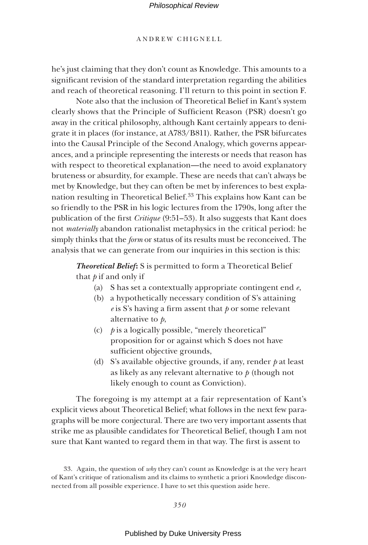# ANDREW CHIGNELL

he's just claiming that they don't count as Knowledge. This amounts to a significant revision of the standard interpretation regarding the abilities and reach of theoretical reasoning. I'll return to this point in section F.

Note also that the inclusion of Theoretical Belief in Kant's system clearly shows that the Principle of Sufficient Reason (PSR) doesn't go away in the critical philosophy, although Kant certainly appears to denigrate it in places (for instance, at A783/B811). Rather, the PSR bifurcates into the Causal Principle of the Second Analogy, which governs appearances, and a principle representing the interests or needs that reason has with respect to theoretical explanation—the need to avoid explanatory bruteness or absurdity, for example. These are needs that can't always be met by Knowledge, but they can often be met by inferences to best explanation resulting in Theoretical Belief.<sup>33</sup> This explains how Kant can be so friendly to the PSR in his logic lectures from the 1790s, long after the publication of the first *Critique* (9:51–53). It also suggests that Kant does not *materially* abandon rationalist metaphysics in the critical period: he simply thinks that the *form* or status of its results must be reconceived. The analysis that we can generate from our inquiries in this section is this:

**Theoretical Belief:** S is permitted to form a Theoretical Belief that *p* if and only if

- (a) S has set a contextually appropriate contingent end *e*,
- (b) a hypothetically necessary condition of S's attaining  $e$  is S's having a firm assent that  $p$  or some relevant alternative to *p*,
- (c)  $\phi$  is a logically possible, "merely theoretical" proposition for or against which S does not have sufficient objective grounds,
- (d) S's available objective grounds, if any, render *p* at least as likely as any relevant alternative to *p* (though not likely enough to count as Conviction).

The foregoing is my attempt at a fair representation of Kant's explicit views about Theoretical Belief; what follows in the next few paragraphs will be more conjectural. There are two very important assents that strike me as plausible candidates for Theoretical Belief, though I am not sure that Kant wanted to regard them in that way. The first is assent to

<sup>33.</sup> Again, the question of *why* they can't count as Knowledge is at the very heart of Kant's critique of rationalism and its claims to synthetic a priori Knowledge disconnected from all possible experience. I have to set this question aside here.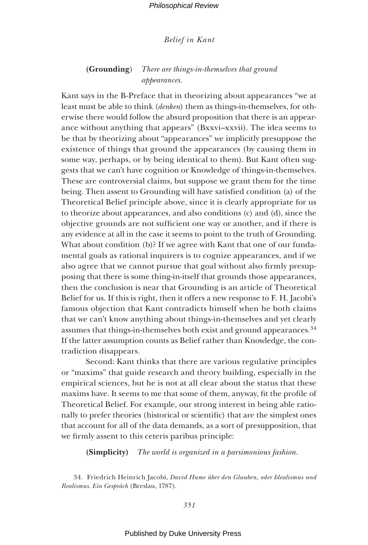# **(Grounding**) *There are things-in-themselves that ground appearances*.

Kant says in the B-Preface that in theorizing about appearances "we at least must be able to think (*denken*) them as things-in-themselves, for otherwise there would follow the absurd proposition that there is an appearance without anything that appears" (Bxxvi–xxvii). The idea seems to be that by theorizing about "appearances" we implicitly presuppose the existence of things that ground the appearances (by causing them in some way, perhaps, or by being identical to them). But Kant often suggests that we can't have cognition or Knowledge of things-in-themselves. These are controversial claims, but suppose we grant them for the time being. Then assent to Grounding will have satisfied condition (a) of the Theoretical Belief principle above, since it is clearly appropriate for us to theorize about appearances, and also conditions (c) and (d), since the objective grounds are not sufficient one way or another, and if there is any evidence at all in the case it seems to point to the truth of Grounding. What about condition (b)? If we agree with Kant that one of our fundamental goals as rational inquirers is to cognize appearances, and if we also agree that we cannot pursue that goal without also firmly presupposing that there is some thing-in-itself that grounds those appearances, then the conclusion is near that Grounding is an article of Theoretical Belief for us. If this is right, then it offers a new response to F. H. Jacobi's famous objection that Kant contradicts himself when he both claims that we can't know anything about things-in-themselves and yet clearly assumes that things-in-themselves both exist and ground appearances.<sup>34</sup> If the latter assumption counts as Belief rather than Knowledge, the contradiction disappears.

Second: Kant thinks that there are various regulative principles or "maxims" that guide research and theory building, especially in the empirical sciences, but he is not at all clear about the status that these maxims have. It seems to me that some of them, anyway, fit the profile of Theoretical Belief. For example, our strong interest in being able rationally to prefer theories (historical or scientific) that are the simplest ones that account for all of the data demands, as a sort of presupposition, that we firmly assent to this ceteris paribus principle:

**(Simplicity)** *The world is organized in a parsimonious fashion*.

34. Friedrich Heinrich Jacobi, *David Hume über den Glauben, oder Idealismus und Realismus*. *Ein Gespräch* (Breslau, 1787).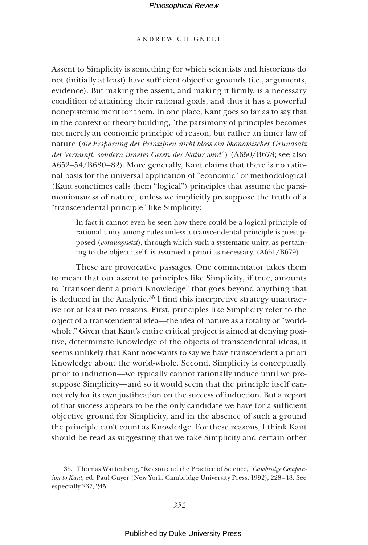# ANDREW CHIGNELL

Assent to Simplicity is something for which scientists and historians do not (initially at least) have sufficient objective grounds (i.e., arguments, evidence). But making the assent, and making it firmly, is a necessary condition of attaining their rational goals, and thus it has a powerful nonepistemic merit for them. In one place, Kant goes so far as to say that in the context of theory building, "the parsimony of principles becomes not merely an economic principle of reason, but rather an inner law of nature (*die Ersparung der Prinzipien nicht bloss ein ökonomischer Grundsatz der Vernunft, sondern inneres Gesetz der Natur wird*") (A650/B678; see also A652–54/B680–82). More generally, Kant claims that there is no rational basis for the universal application of "economic" or methodological (Kant sometimes calls them "logical") principles that assume the parsimoniousness of nature, unless we implicitly presuppose the truth of a "transcendental principle" like Simplicity:

In fact it cannot even be seen how there could be a logical principle of rational unity among rules unless a transcendental principle is presupposed (*vorausgesetzt*), through which such a systematic unity, as pertaining to the object itself, is assumed a priori as necessary. (A651/B679)

These are provocative passages. One commentator takes them to mean that our assent to principles like Simplicity, if true, amounts to "transcendent a priori Knowledge" that goes beyond anything that is deduced in the Analytic.<sup>35</sup> I find this interpretive strategy unattractive for at least two reasons. First, principles like Simplicity refer to the object of a transcendental idea—the idea of nature as a totality or "worldwhole." Given that Kant's entire critical project is aimed at denying positive, determinate Knowledge of the objects of transcendental ideas, it seems unlikely that Kant now wants to say we have transcendent a priori Knowledge about the world-whole. Second, Simplicity is conceptually prior to induction—we typically cannot rationally induce until we presuppose Simplicity—and so it would seem that the principle itself cannot rely for its own justification on the success of induction. But a report of that success appears to be the only candidate we have for a sufficient objective ground for Simplicity, and in the absence of such a ground the principle can't count as Knowledge. For these reasons, I think Kant should be read as suggesting that we take Simplicity and certain other

<sup>35.</sup> Thomas Wartenberg, "Reason and the Practice of Science," *Cambridge Companion to Kant*, ed. Paul Guyer (New York: Cambridge University Press, 1992), 228–48. See especially 237, 245.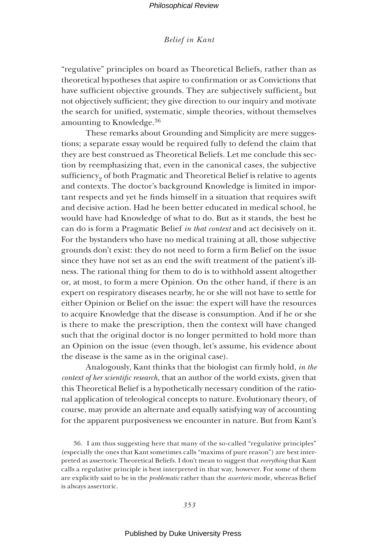"regulative" principles on board as Theoretical Beliefs, rather than as theoretical hypotheses that aspire to confirmation or as Convictions that have sufficient objective grounds. They are subjectively sufficient, but not objectively sufficient; they give direction to our inquiry and motivate the search for unified, systematic, simple theories, without themselves amounting to Knowledge.36

These remarks about Grounding and Simplicity are mere suggestions; a separate essay would be required fully to defend the claim that they are best construed as Theoretical Beliefs. Let me conclude this section by reemphasizing that, even in the canonical cases, the subjective sufficiency<sub>9</sub> of both Pragmatic and Theoretical Belief is relative to agents and contexts. The doctor's background Knowledge is limited in important respects and yet he finds himself in a situation that requires swift and decisive action. Had he been better educated in medical school, he would have had Knowledge of what to do. But as it stands, the best he can do is form a Pragmatic Belief *in that context* and act decisively on it. For the bystanders who have no medical training at all, those subjective grounds don't exist: they do not need to form a firm Belief on the issue since they have not set as an end the swift treatment of the patient's illness. The rational thing for them to do is to withhold assent altogether or, at most, to form a mere Opinion. On the other hand, if there is an expert on respiratory diseases nearby, he or she will not have to settle for either Opinion or Belief on the issue: the expert will have the resources to acquire Knowledge that the disease is consumption. And if he or she is there to make the prescription, then the context will have changed such that the original doctor is no longer permitted to hold more than an Opinion on the issue (even though, let's assume, his evidence about the disease is the same as in the original case).

Analogously, Kant thinks that the biologist can firmly hold, *in the context of her scientific research*, that an author of the world exists, given that this Theoretical Belief is a hypothetically necessary condition of the rational application of teleological concepts to nature. Evolutionary theory, of course, may provide an alternate and equally satisfying way of accounting for the apparent purposiveness we encounter in nature. But from Kant's

36. I am thus suggesting here that many of the so-called "regulative principles" (especially the ones that Kant sometimes calls "maxims of pure reason") are best interpreted as assertoric Theoretical Beliefs. I don't mean to suggest that *everything* that Kant calls a regulative principle is best interpreted in that way, however. For some of them are explicitly said to be in the *problematic* rather than the *assertoric* mode, whereas Belief is always assertoric.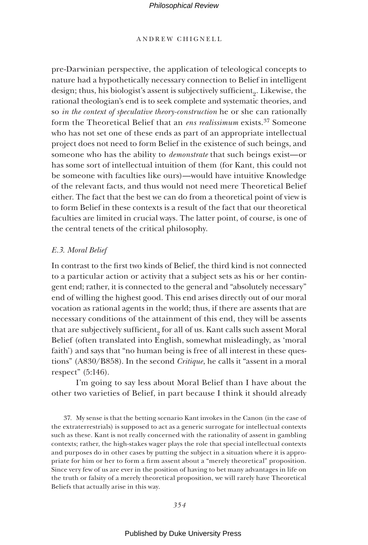# ANDREW CHIGNELL

pre-Darwinian perspective, the application of teleological concepts to nature had a hypothetically necessary connection to Belief in intelligent design; thus, his biologist's assent is subjectively sufficient. Likewise, the rational theologian's end is to seek complete and systematic theories, and so *in the context of speculative theory-construction* he or she can rationally form the Theoretical Belief that an *ens realissimum* exists.37 Someone who has not set one of these ends as part of an appropriate intellectual project does not need to form Belief in the existence of such beings, and someone who has the ability to *demonstrate* that such beings exist—or has some sort of intellectual intuition of them (for Kant, this could not be someone with faculties like ours)—would have intuitive Knowledge of the relevant facts, and thus would not need mere Theoretical Belief either. The fact that the best we can do from a theoretical point of view is to form Belief in these contexts is a result of the fact that our theoretical faculties are limited in crucial ways. The latter point, of course, is one of the central tenets of the critical philosophy.

### *E.3. Moral Belief*

In contrast to the first two kinds of Belief, the third kind is not connected to a particular action or activity that a subject sets as his or her contingent end; rather, it is connected to the general and "absolutely necessary" end of willing the highest good. This end arises directly out of our moral vocation as rational agents in the world; thus, if there are assents that are necessary conditions of the attainment of this end, they will be assents that are subjectively sufficient $_{2}$  for all of us. Kant calls such assent Moral Belief (often translated into English, somewhat misleadingly, as 'moral faith') and says that "no human being is free of all interest in these questions" (A830/B858). In the second *Critique*, he calls it "assent in a moral respect" (5:146).

I'm going to say less about Moral Belief than I have about the other two varieties of Belief, in part because I think it should already

37. My sense is that the betting scenario Kant invokes in the Canon (in the case of the extraterrestrials) is supposed to act as a generic surrogate for intellectual contexts such as these. Kant is not really concerned with the rationality of assent in gambling contexts; rather, the high-stakes wager plays the role that special intellectual contexts and purposes do in other cases by putting the subject in a situation where it is appropriate for him or her to form a firm assent about a "merely theoretical" proposition. Since very few of us are ever in the position of having to bet many advantages in life on the truth or falsity of a merely theoretical proposition, we will rarely have Theoretical Beliefs that actually arise in this way.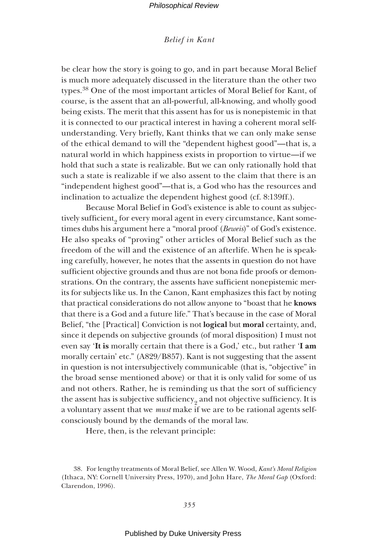# *Belief in Kant*

be clear how the story is going to go, and in part because Moral Belief is much more adequately discussed in the literature than the other two types.38 One of the most important articles of Moral Belief for Kant, of course, is the assent that an all-powerful, all-knowing, and wholly good being exists. The merit that this assent has for us is nonepistemic in that it is connected to our practical interest in having a coherent moral selfunderstanding. Very briefly, Kant thinks that we can only make sense of the ethical demand to will the "dependent highest good"—that is, a natural world in which happiness exists in proportion to virtue—if we hold that such a state is realizable. But we can only rationally hold that such a state is realizable if we also assent to the claim that there is an "independent highest good"—that is, a God who has the resources and inclination to actualize the dependent highest good (cf. 8:139ff.).

Because Moral Belief in God's existence is able to count as subjectively sufficient $_{2}$  for every moral agent in every circumstance, Kant sometimes dubs his argument here a "moral proof (*Beweis*)" of God's existence. He also speaks of "proving" other articles of Moral Belief such as the freedom of the will and the existence of an afterlife. When he is speaking carefully, however, he notes that the assents in question do not have sufficient objective grounds and thus are not bona fide proofs or demonstrations. On the contrary, the assents have sufficient nonepistemic merits for subjects like us. In the Canon, Kant emphasizes this fact by noting that practical considerations do not allow anyone to "boast that he **knows** that there is a God and a future life." That's because in the case of Moral Belief, "the [Practical] Conviction is not **logical** but **moral** certainty, and, since it depends on subjective grounds (of moral disposition) I must not even say '**It is** morally certain that there is a God,' etc., but rather '**I am** morally certain' etc." (A829/B857). Kant is not suggesting that the assent in question is not intersubjectively communicable (that is, "objective" in the broad sense mentioned above) or that it is only valid for some of us and not others. Rather, he is reminding us that the sort of sufficiency the assent has is subjective sufficiency $_{2}$  and not objective sufficiency. It is a voluntary assent that we *must* make if we are to be rational agents selfconsciously bound by the demands of the moral law.

Here, then, is the relevant principle:

<sup>38.</sup> For lengthy treatments of Moral Belief, see Allen W. Wood, *Kant's Moral Religion* (Ithaca, NY: Cornell University Press, 1970), and John Hare, *The Moral Gap* (Oxford: Clarendon, 1996).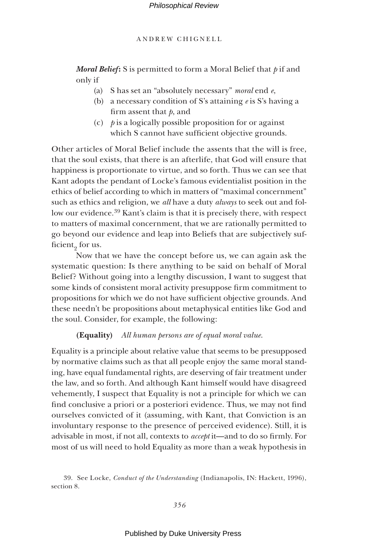ANDREW CHIGNELL

*Moral Belief* **:** S is permitted to form a Moral Belief that *p* if and only if

- (a) S has set an "absolutely necessary" *moral* end *e*,
- (b) a necessary condition of S's attaining *e* is S's having a firm assent that *p*, and
- (c) *p* is a logically possible proposition for or against which S cannot have sufficient objective grounds.

Other articles of Moral Belief include the assents that the will is free, that the soul exists, that there is an afterlife, that God will ensure that happiness is proportionate to virtue, and so forth. Thus we can see that Kant adopts the pendant of Locke's famous evidentialist position in the ethics of belief according to which in matters of "maximal concernment" such as ethics and religion, we *all* have a duty *always* to seek out and follow our evidence.<sup>39</sup> Kant's claim is that it is precisely there, with respect to matters of maximal concernment, that we are rationally permitted to go beyond our evidence and leap into Beliefs that are subjectively sufficient<sub>2</sub> for us.

Now that we have the concept before us, we can again ask the systematic question: Is there anything to be said on behalf of Moral Belief? Without going into a lengthy discussion, I want to suggest that some kinds of consistent moral activity presuppose firm commitment to propositions for which we do not have sufficient objective grounds. And these needn't be propositions about metaphysical entities like God and the soul. Consider, for example, the following:

# **(Equality)** *All human persons are of equal moral value*.

Equality is a principle about relative value that seems to be presupposed by normative claims such as that all people enjoy the same moral standing, have equal fundamental rights, are deserving of fair treatment under the law, and so forth. And although Kant himself would have disagreed vehemently, I suspect that Equality is not a principle for which we can find conclusive a priori or a posteriori evidence. Thus, we may not find ourselves convicted of it (assuming, with Kant, that Conviction is an involuntary response to the presence of perceived evidence). Still, it is advisable in most, if not all, contexts to *accept* it—and to do so firmly. For most of us will need to hold Equality as more than a weak hypothesis in

<sup>39.</sup> See Locke, *Conduct of the Understanding* (Indianapolis, IN: Hackett, 1996), section 8.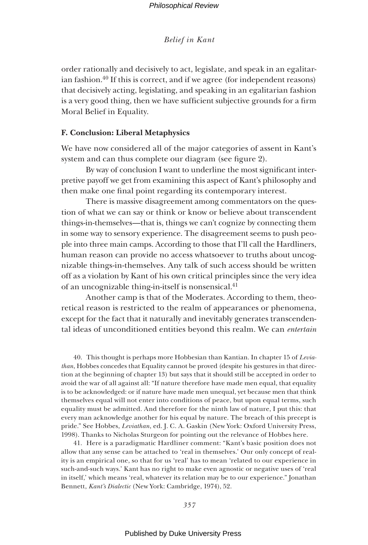order rationally and decisively to act, legislate, and speak in an egalitarian fashion.<sup>40</sup> If this is correct, and if we agree (for independent reasons) that decisively acting, legislating, and speaking in an egalitarian fashion is a very good thing, then we have sufficient subjective grounds for a firm Moral Belief in Equality.

# **F. Conclusion: Liberal Metaphysics**

We have now considered all of the major categories of assent in Kant's system and can thus complete our diagram (see figure 2).

By way of conclusion I want to underline the most significant interpretive payoff we get from examining this aspect of Kant's philosophy and then make one final point regarding its contemporary interest.

There is massive disagreement among commentators on the question of what we can say or think or know or believe about transcendent things-in-themselves—that is, things we can't cognize by connecting them in some way to sensory experience. The disagreement seems to push people into three main camps. According to those that I'll call the Hardliners, human reason can provide no access whatsoever to truths about uncognizable things-in-themselves. Any talk of such access should be written off as a violation by Kant of his own critical principles since the very idea of an uncognizable thing-in-itself is nonsensical.41

Another camp is that of the Moderates. According to them, theoretical reason is restricted to the realm of appearances or phenomena, except for the fact that it naturally and inevitably generates transcendental ideas of unconditioned entities beyond this realm. We can *entertain*

40. This thought is perhaps more Hobbesian than Kantian. In chapter 15 of *Leviathan*, Hobbes concedes that Equality cannot be proved (despite his gestures in that direction at the beginning of chapter 13) but says that it should still be accepted in order to avoid the war of all against all: "If nature therefore have made men equal, that equality is to be acknowledged: or if nature have made men unequal, yet because men that think themselves equal will not enter into conditions of peace, but upon equal terms, such equality must be admitted. And therefore for the ninth law of nature, I put this: that every man acknowledge another for his equal by nature. The breach of this precept is pride." See Hobbes, *Leviathan*, ed. J. C. A. Gaskin (New York: Oxford University Press, 1998). Thanks to Nicholas Sturgeon for pointing out the relevance of Hobbes here.

41. Here is a paradigmatic Hardliner comment: "Kant's basic position does not allow that any sense can be attached to 'real in themselves.' Our only concept of reality is an empirical one, so that for us 'real' has to mean 'related to our experience in such-and-such ways.' Kant has no right to make even agnostic or negative uses of 'real in itself,' which means 'real, whatever its relation may be to our experience." Jonathan Bennett, *Kant's Dialectic* (New York: Cambridge, 1974), 52.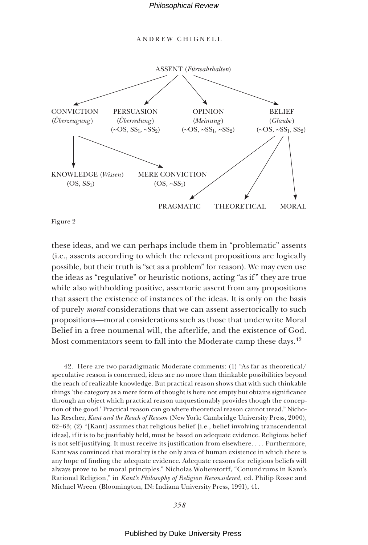ANDREW CHIGNELL



Figure 2

these ideas, and we can perhaps include them in "problematic" assents (i.e., assents according to which the relevant propositions are logically possible, but their truth is "set as a problem" for reason). We may even use the ideas as "regulative" or heuristic notions, acting "as if " they are true while also withholding positive, assertoric assent from any propositions that assert the existence of instances of the ideas. It is only on the basis of purely *moral* considerations that we can assent assertorically to such propositions—moral considerations such as those that underwrite Moral Belief in a free noumenal will, the afterlife, and the existence of God. Most commentators seem to fall into the Moderate camp these days.<sup>42</sup>

42. Here are two paradigmatic Moderate comments: (1) "As far as theoretical/ speculative reason is concerned, ideas are no more than thinkable possibilities beyond the reach of realizable knowledge. But practical reason shows that with such thinkable things 'the category as a mere form of thought is here not empty but obtains significance through an object which practical reason unquestionably provides though the conception of the good.' Practical reason can go where theoretical reason cannot tread." Nicholas Rescher, *Kant and the Reach of Reason* (New York: Cambridge University Press, 2000), 62–63; (2) "[Kant] assumes that religious belief [i.e., belief involving transcendental ideas], if it is to be justifiably held, must be based on adequate evidence. Religious belief is not self-justifying. It must receive its justification from elsewhere.... Furthermore, Kant was convinced that morality is the only area of human existence in which there is any hope of finding the adequate evidence. Adequate reasons for religious beliefs will always prove to be moral principles." Nicholas Wolterstorff, "Conundrums in Kant's Rational Religion," in *Kant's Philosophy of Religion Reconsidered*, ed. Philip Rosse and Michael Wreen (Bloomington, IN: Indiana University Press, 1991), 41.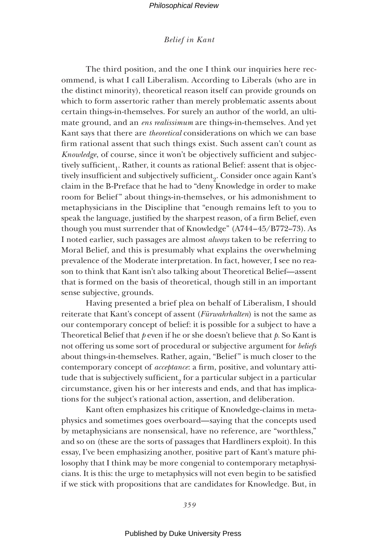# *Belief in Kant*

The third position, and the one I think our inquiries here recommend, is what I call Liberalism. According to Liberals (who are in the distinct minority), theoretical reason itself can provide grounds on which to form assertoric rather than merely problematic assents about certain things-in-themselves. For surely an author of the world, an ultimate ground, and an *ens realissimum* are things-in-themselves. And yet Kant says that there are *theoretical* considerations on which we can base firm rational assent that such things exist. Such assent can't count as *Knowledge*, of course, since it won't be objectively sufficient and subjectively sufficient<sub>1</sub>. Rather, it counts as rational Belief: assent that is objectively insufficient and subjectively sufficient<sub>9</sub>. Consider once again Kant's claim in the B-Preface that he had to "deny Knowledge in order to make room for Belief " about things-in-themselves, or his admonishment to metaphysicians in the Discipline that "enough remains left to you to speak the language, justified by the sharpest reason, of a firm Belief, even though you must surrender that of Knowledge" (A744–45/B772–73). As I noted earlier, such passages are almost *always* taken to be referring to Moral Belief, and this is presumably what explains the overwhelming prevalence of the Moderate interpretation. In fact, however, I see no reason to think that Kant isn't also talking about Theoretical Belief—assent that is formed on the basis of theoretical, though still in an important sense subjective, grounds.

Having presented a brief plea on behalf of Liberalism, I should reiterate that Kant's concept of assent (*Fürwahrhalten*) is not the same as our contemporary concept of belief: it is possible for a subject to have a Theoretical Belief that *p* even if he or she doesn't believe that *p*. So Kant is not offering us some sort of procedural or subjective argument for *beliefs* about things-in-themselves. Rather, again, "Belief " is much closer to the contemporary concept of *acceptance*: a firm, positive, and voluntary attitude that is subjectively sufficient $_{2}$  for a particular subject in a particular circumstance, given his or her interests and ends, and that has implications for the subject's rational action, assertion, and deliberation.

Kant often emphasizes his critique of Knowledge-claims in metaphysics and sometimes goes overboard—saying that the concepts used by metaphysicians are nonsensical, have no reference, are "worthless," and so on (these are the sorts of passages that Hardliners exploit). In this essay, I've been emphasizing another, positive part of Kant's mature philosophy that I think may be more congenial to contemporary metaphysicians. It is this: the urge to metaphysics will not even begin to be satisfied if we stick with propositions that are candidates for Knowledge. But, in